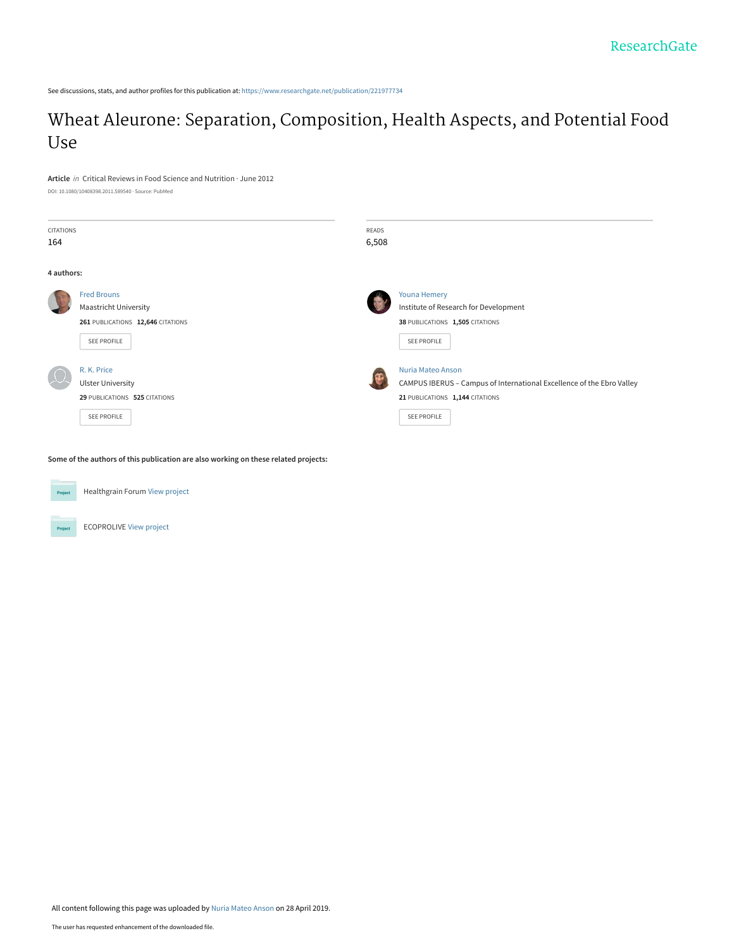See discussions, stats, and author profiles for this publication at: [https://www.researchgate.net/publication/221977734](https://www.researchgate.net/publication/221977734_Wheat_Aleurone_Separation_Composition_Health_Aspects_and_Potential_Food_Use?enrichId=rgreq-de57b7cff5508e71ad2a3cf31caf6e9b-XXX&enrichSource=Y292ZXJQYWdlOzIyMTk3NzczNDtBUzo3NTI2MDU2MTc3MTcyNDhAMTU1NjQ0NjU3MDI3Ng%3D%3D&el=1_x_2&_esc=publicationCoverPdf)

# [Wheat Aleurone: Separation, Composition, Health Aspects, and Potential Food](https://www.researchgate.net/publication/221977734_Wheat_Aleurone_Separation_Composition_Health_Aspects_and_Potential_Food_Use?enrichId=rgreq-de57b7cff5508e71ad2a3cf31caf6e9b-XXX&enrichSource=Y292ZXJQYWdlOzIyMTk3NzczNDtBUzo3NTI2MDU2MTc3MTcyNDhAMTU1NjQ0NjU3MDI3Ng%3D%3D&el=1_x_3&_esc=publicationCoverPdf) Use

#### **Article** in Critical Reviews in Food Science and Nutrition · June 2012

DOI: 10.1080/10408398.2011.589540 · Source: PubMed

| <b>CITATIONS</b> |                                   | READS      |                                                                       |
|------------------|-----------------------------------|------------|-----------------------------------------------------------------------|
| 164              |                                   | 6,508      |                                                                       |
|                  |                                   |            |                                                                       |
| 4 authors:       |                                   |            |                                                                       |
|                  | <b>Fred Brouns</b>                |            | <b>Youna Hemery</b>                                                   |
|                  | <b>Maastricht University</b>      |            | Institute of Research for Development                                 |
|                  | 261 PUBLICATIONS 12,646 CITATIONS |            | 38 PUBLICATIONS 1,505 CITATIONS                                       |
|                  | SEE PROFILE                       |            | SEE PROFILE                                                           |
|                  | R. K. Price                       |            | Nuria Mateo Anson                                                     |
|                  | <b>Ulster University</b>          | $\sqrt{2}$ | CAMPUS IBERUS - Campus of International Excellence of the Ebro Valley |
|                  | 29 PUBLICATIONS 525 CITATIONS     |            | 21 PUBLICATIONS 1,144 CITATIONS                                       |
|                  | SEE PROFILE                       |            | <b>SEE PROFILE</b>                                                    |
|                  |                                   |            |                                                                       |

**Some of the authors of this publication are also working on these related projects:**



Healthgrain Forum [View project](https://www.researchgate.net/project/Healthgrain-Forum?enrichId=rgreq-de57b7cff5508e71ad2a3cf31caf6e9b-XXX&enrichSource=Y292ZXJQYWdlOzIyMTk3NzczNDtBUzo3NTI2MDU2MTc3MTcyNDhAMTU1NjQ0NjU3MDI3Ng%3D%3D&el=1_x_9&_esc=publicationCoverPdf)



ECOPROLIVE [View project](https://www.researchgate.net/project/ECOPROLIVE?enrichId=rgreq-de57b7cff5508e71ad2a3cf31caf6e9b-XXX&enrichSource=Y292ZXJQYWdlOzIyMTk3NzczNDtBUzo3NTI2MDU2MTc3MTcyNDhAMTU1NjQ0NjU3MDI3Ng%3D%3D&el=1_x_9&_esc=publicationCoverPdf)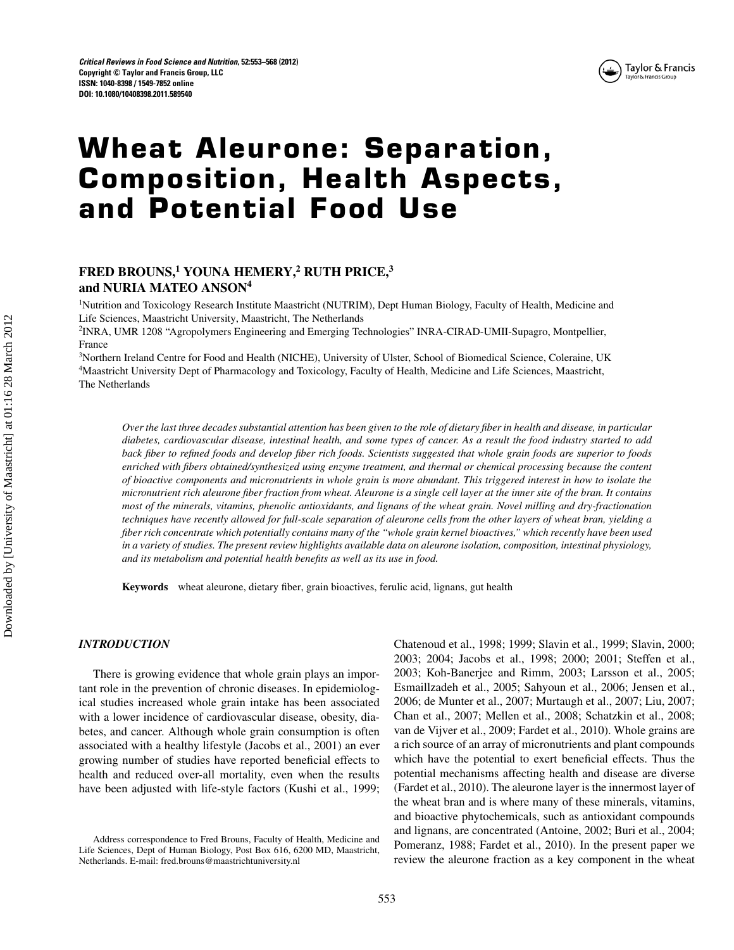

# **Wheat Aleurone: Separation, Composition, Health Aspects, and Potential Food Use**

# **FRED BROUNS,1 YOUNA HEMERY,2 RUTH PRICE,3 and NURIA MATEO ANSON<sup>4</sup>**

<sup>1</sup>Nutrition and Toxicology Research Institute Maastricht (NUTRIM), Dept Human Biology, Faculty of Health, Medicine and Life Sciences, Maastricht University, Maastricht, The Netherlands

2 INRA, UMR 1208 "Agropolymers Engineering and Emerging Technologies" INRA-CIRAD-UMII-Supagro, Montpellier, France

3 Northern Ireland Centre for Food and Health (NICHE), University of Ulster, School of Biomedical Science, Coleraine, UK 4 Maastricht University Dept of Pharmacology and Toxicology, Faculty of Health, Medicine and Life Sciences, Maastricht, The Netherlands

*Over the last three decades substantial attention has been given to the role of dietary fiber in health and disease, in particular diabetes, cardiovascular disease, intestinal health, and some types of cancer. As a result the food industry started to add back fiber to refined foods and develop fiber rich foods. Scientists suggested that whole grain foods are superior to foods enriched with fibers obtained/synthesized using enzyme treatment, and thermal or chemical processing because the content of bioactive components and micronutrients in whole grain is more abundant. This triggered interest in how to isolate the micronutrient rich aleurone fiber fraction from wheat. Aleurone is a single cell layer at the inner site of the bran. It contains most of the minerals, vitamins, phenolic antioxidants, and lignans of the wheat grain. Novel milling and dry-fractionation techniques have recently allowed for full-scale separation of aleurone cells from the other layers of wheat bran, yielding a fiber rich concentrate which potentially contains many of the "whole grain kernel bioactives," which recently have been used in a variety of studies. The present review highlights available data on aleurone isolation, composition, intestinal physiology, and its metabolism and potential health benefits as well as its use in food.*

**Keywords** wheat aleurone, dietary fiber, grain bioactives, ferulic acid, lignans, gut health

# *INTRODUCTION*

There is growing evidence that whole grain plays an important role in the prevention of chronic diseases. In epidemiological studies increased whole grain intake has been associated with a lower incidence of cardiovascular disease, obesity, diabetes, and cancer. Although whole grain consumption is often associated with a healthy lifestyle (Jacobs et al., 2001) an ever growing number of studies have reported beneficial effects to health and reduced over-all mortality, even when the results have been adjusted with life-style factors (Kushi et al., 1999; Chatenoud et al., 1998; 1999; Slavin et al., 1999; Slavin, 2000; 2003; 2004; Jacobs et al., 1998; 2000; 2001; Steffen et al., 2003; Koh-Banerjee and Rimm, 2003; Larsson et al., 2005; Esmaillzadeh et al., 2005; Sahyoun et al., 2006; Jensen et al., 2006; de Munter et al., 2007; Murtaugh et al., 2007; Liu, 2007; Chan et al., 2007; Mellen et al., 2008; Schatzkin et al., 2008; van de Vijver et al., 2009; Fardet et al., 2010). Whole grains are a rich source of an array of micronutrients and plant compounds which have the potential to exert beneficial effects. Thus the potential mechanisms affecting health and disease are diverse (Fardet et al., 2010). The aleurone layer is the innermost layer of the wheat bran and is where many of these minerals, vitamins, and bioactive phytochemicals, such as antioxidant compounds and lignans, are concentrated (Antoine, 2002; Buri et al., 2004; Pomeranz, 1988; Fardet et al., 2010). In the present paper we review the aleurone fraction as a key component in the wheat

Address correspondence to Fred Brouns, Faculty of Health, Medicine and Life Sciences, Dept of Human Biology, Post Box 616, 6200 MD, Maastricht, Netherlands. E-mail: fred.brouns@maastrichtuniversity.nl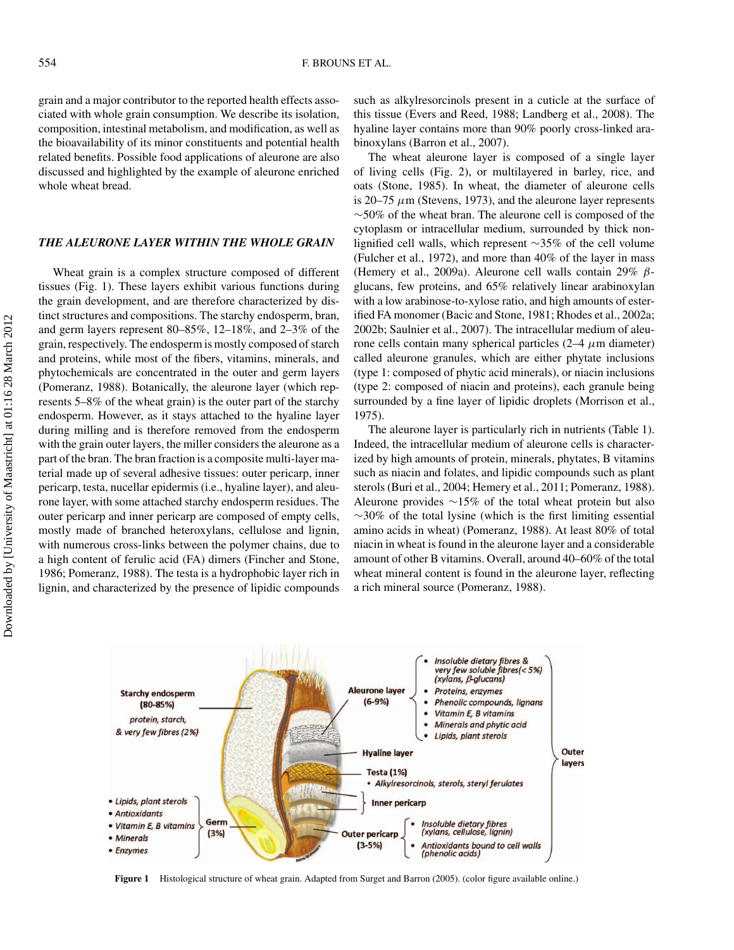grain and a major contributor to the reported health effects associated with whole grain consumption. We describe its isolation, composition, intestinal metabolism, and modification, as well as the bioavailability of its minor constituents and potential health related benefits. Possible food applications of aleurone are also discussed and highlighted by the example of aleurone enriched whole wheat bread.

# *THE ALEURONE LAYER WITHIN THE WHOLE GRAIN*

Wheat grain is a complex structure composed of different tissues (Fig. 1). These layers exhibit various functions during the grain development, and are therefore characterized by distinct structures and compositions. The starchy endosperm, bran, and germ layers represent 80–85%, 12–18%, and 2–3% of the grain, respectively. The endosperm is mostly composed of starch and proteins, while most of the fibers, vitamins, minerals, and phytochemicals are concentrated in the outer and germ layers (Pomeranz, 1988). Botanically, the aleurone layer (which represents 5–8% of the wheat grain) is the outer part of the starchy endosperm. However, as it stays attached to the hyaline layer during milling and is therefore removed from the endosperm with the grain outer layers, the miller considers the aleurone as a part of the bran. The bran fraction is a composite multi-layer material made up of several adhesive tissues: outer pericarp, inner pericarp, testa, nucellar epidermis (i.e., hyaline layer), and aleurone layer, with some attached starchy endosperm residues. The outer pericarp and inner pericarp are composed of empty cells, mostly made of branched heteroxylans, cellulose and lignin, with numerous cross-links between the polymer chains, due to a high content of ferulic acid (FA) dimers (Fincher and Stone, 1986; Pomeranz, 1988). The testa is a hydrophobic layer rich in lignin, and characterized by the presence of lipidic compounds such as alkylresorcinols present in a cuticle at the surface of this tissue (Evers and Reed, 1988; Landberg et al., 2008). The hyaline layer contains more than 90% poorly cross-linked arabinoxylans (Barron et al., 2007).

The wheat aleurone layer is composed of a single layer of living cells (Fig. 2), or multilayered in barley, rice, and oats (Stone, 1985). In wheat, the diameter of aleurone cells is 20–75  $\mu$ m (Stevens, 1973), and the aleurone layer represents  $~\sim$ 50% of the wheat bran. The aleurone cell is composed of the cytoplasm or intracellular medium, surrounded by thick nonlignified cell walls, which represent ∼35% of the cell volume (Fulcher et al., 1972), and more than 40% of the layer in mass (Hemery et al., 2009a). Aleurone cell walls contain 29%  $\beta$ glucans, few proteins, and 65% relatively linear arabinoxylan with a low arabinose-to-xylose ratio, and high amounts of esterified FA monomer (Bacic and Stone, 1981; Rhodes et al., 2002a; 2002b; Saulnier et al., 2007). The intracellular medium of aleurone cells contain many spherical particles  $(2-4 \mu m)$  diameter) called aleurone granules, which are either phytate inclusions (type 1: composed of phytic acid minerals), or niacin inclusions (type 2: composed of niacin and proteins), each granule being surrounded by a fine layer of lipidic droplets (Morrison et al., 1975).

The aleurone layer is particularly rich in nutrients (Table 1). Indeed, the intracellular medium of aleurone cells is characterized by high amounts of protein, minerals, phytates, B vitamins such as niacin and folates, and lipidic compounds such as plant sterols (Buri et al., 2004; Hemery et al., 2011; Pomeranz, 1988). Aleurone provides  $\sim$ 15% of the total wheat protein but also  $\sim$ 30% of the total lysine (which is the first limiting essential amino acids in wheat) (Pomeranz, 1988). At least 80% of total niacin in wheat is found in the aleurone layer and a considerable amount of other B vitamins. Overall, around 40–60% of the total wheat mineral content is found in the aleurone layer, reflecting a rich mineral source (Pomeranz, 1988).



**Figure 1** Histological structure of wheat grain. Adapted from Surget and Barron (2005). (color figure available online.)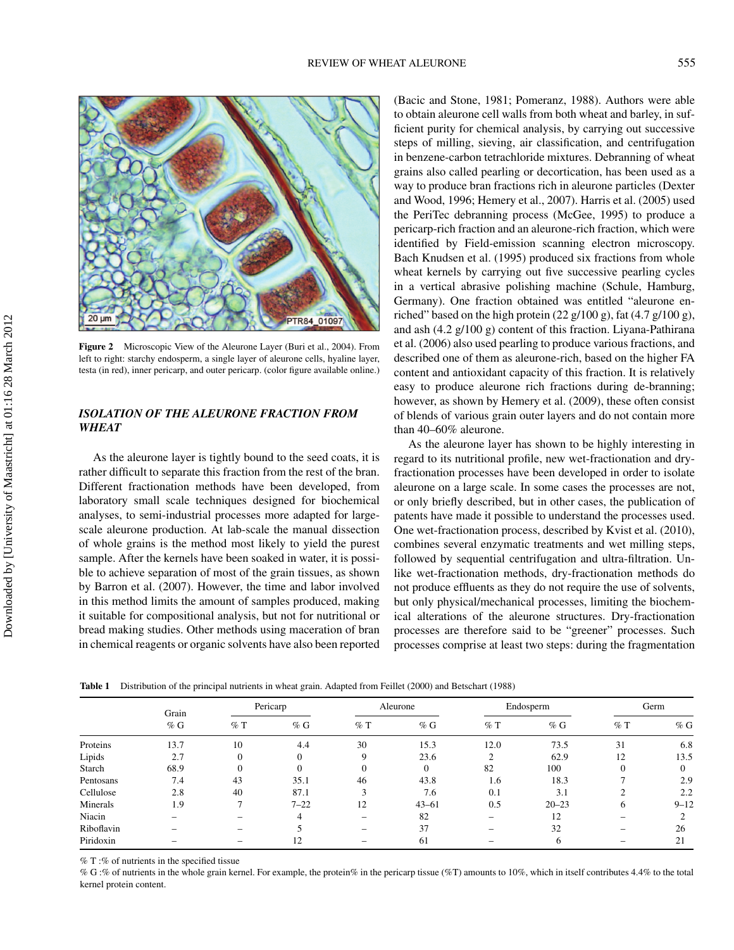

**Figure 2** Microscopic View of the Aleurone Layer (Buri et al., 2004). From left to right: starchy endosperm, a single layer of aleurone cells, hyaline layer, testa (in red), inner pericarp, and outer pericarp. (color figure available online.)

# *ISOLATION OF THE ALEURONE FRACTION FROM WHEAT*

As the aleurone layer is tightly bound to the seed coats, it is rather difficult to separate this fraction from the rest of the bran. Different fractionation methods have been developed, from laboratory small scale techniques designed for biochemical analyses, to semi-industrial processes more adapted for largescale aleurone production. At lab-scale the manual dissection of whole grains is the method most likely to yield the purest sample. After the kernels have been soaked in water, it is possible to achieve separation of most of the grain tissues, as shown by Barron et al. (2007). However, the time and labor involved in this method limits the amount of samples produced, making it suitable for compositional analysis, but not for nutritional or bread making studies. Other methods using maceration of bran in chemical reagents or organic solvents have also been reported (Bacic and Stone, 1981; Pomeranz, 1988). Authors were able to obtain aleurone cell walls from both wheat and barley, in sufficient purity for chemical analysis, by carrying out successive steps of milling, sieving, air classification, and centrifugation in benzene-carbon tetrachloride mixtures. Debranning of wheat grains also called pearling or decortication, has been used as a way to produce bran fractions rich in aleurone particles (Dexter and Wood, 1996; Hemery et al., 2007). Harris et al. (2005) used the PeriTec debranning process (McGee, 1995) to produce a pericarp-rich fraction and an aleurone-rich fraction, which were identified by Field-emission scanning electron microscopy. Bach Knudsen et al. (1995) produced six fractions from whole wheat kernels by carrying out five successive pearling cycles in a vertical abrasive polishing machine (Schule, Hamburg, Germany). One fraction obtained was entitled "aleurone enriched" based on the high protein (22 g/100 g), fat (4.7 g/100 g), and ash (4.2 g/100 g) content of this fraction. Liyana-Pathirana et al. (2006) also used pearling to produce various fractions, and described one of them as aleurone-rich, based on the higher FA content and antioxidant capacity of this fraction. It is relatively easy to produce aleurone rich fractions during de-branning; however, as shown by Hemery et al. (2009), these often consist of blends of various grain outer layers and do not contain more than 40–60% aleurone.

As the aleurone layer has shown to be highly interesting in regard to its nutritional profile, new wet-fractionation and dryfractionation processes have been developed in order to isolate aleurone on a large scale. In some cases the processes are not, or only briefly described, but in other cases, the publication of patents have made it possible to understand the processes used. One wet-fractionation process, described by Kvist et al. (2010), combines several enzymatic treatments and wet milling steps, followed by sequential centrifugation and ultra-filtration. Unlike wet-fractionation methods, dry-fractionation methods do not produce effluents as they do not require the use of solvents, but only physical/mechanical processes, limiting the biochemical alterations of the aleurone structures. Dry-fractionation processes are therefore said to be "greener" processes. Such processes comprise at least two steps: during the fragmentation

|            | Grain<br>% G |        | Pericarp |                          | Aleurone       |               | Endosperm |                          | Germ     |
|------------|--------------|--------|----------|--------------------------|----------------|---------------|-----------|--------------------------|----------|
|            |              | $\%$ T | % G      | %T                       | % G            | %T            | % G       | %T                       | % G      |
| Proteins   | 13.7         | 10     | 4.4      | 30                       | 15.3           | 12.0          | 73.5      | 31                       | 6.8      |
| Lipids     | 2.7          |        | $\Omega$ | 9                        | 23.6           | $\mathcal{L}$ | 62.9      | 12                       | 13.5     |
| Starch     | 68.9         |        | $\Omega$ | $\Omega$                 | $\overline{0}$ | 82            | 100       | 0                        | $\Omega$ |
| Pentosans  | 7.4          | 43     | 35.1     | 46                       | 43.8           | 1.6           | 18.3      |                          | 2.9      |
| Cellulose  | 2.8          | 40     | 87.1     | 3                        | 7.6            | 0.1           | 3.1       | ◠                        | 2.2      |
| Minerals   | 1.9          |        | $7 - 22$ | 12                       | $43 - 61$      | 0.5           | $20 - 23$ | 6                        | $9 - 12$ |
| Niacin     |              |        | 4        | $\overline{\phantom{a}}$ | 82             |               | 12        | $\overline{\phantom{a}}$ |          |
| Riboflavin |              |        |          | $\hspace{0.05cm}$        | 37             | -             | 32        |                          | 26       |
| Piridoxin  |              |        | 12       |                          | 61             |               | O         |                          | 21       |

**Table 1** Distribution of the principal nutrients in wheat grain. Adapted from Feillet (2000) and Betschart (1988)

% T :% of nutrients in the specified tissue

% G:% of nutrients in the whole grain kernel. For example, the protein% in the pericarp tissue (%T) amounts to 10%, which in itself contributes 4.4% to the total kernel protein content.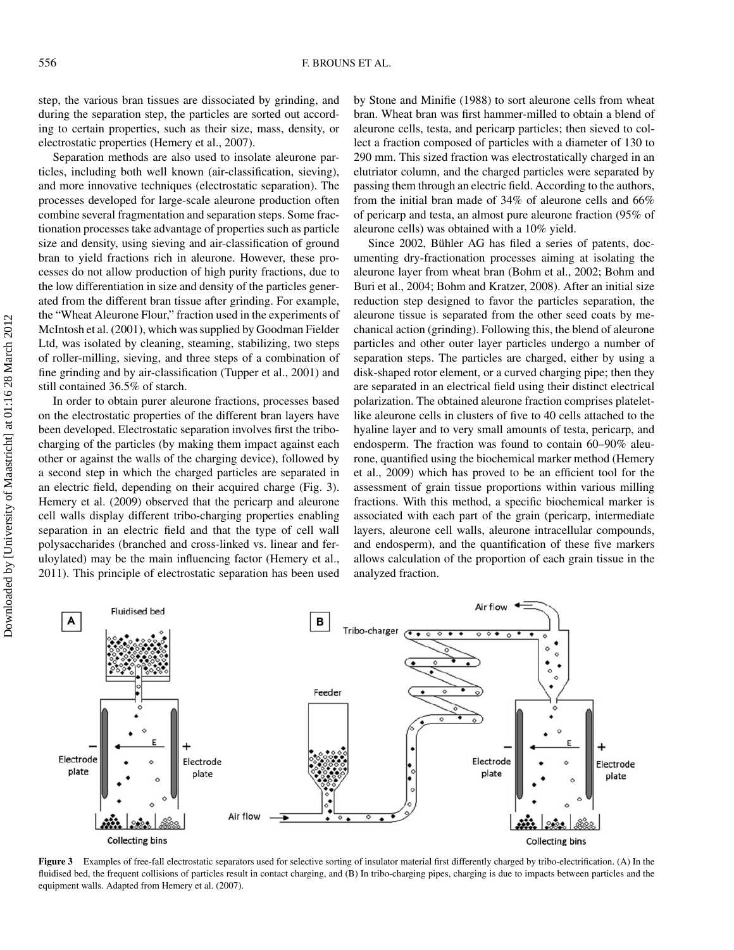step, the various bran tissues are dissociated by grinding, and during the separation step, the particles are sorted out according to certain properties, such as their size, mass, density, or electrostatic properties (Hemery et al., 2007).

Separation methods are also used to insolate aleurone particles, including both well known (air-classification, sieving), and more innovative techniques (electrostatic separation). The processes developed for large-scale aleurone production often combine several fragmentation and separation steps. Some fractionation processes take advantage of properties such as particle size and density, using sieving and air-classification of ground bran to yield fractions rich in aleurone. However, these processes do not allow production of high purity fractions, due to the low differentiation in size and density of the particles generated from the different bran tissue after grinding. For example, the "Wheat Aleurone Flour," fraction used in the experiments of McIntosh et al. (2001), which was supplied by Goodman Fielder Ltd, was isolated by cleaning, steaming, stabilizing, two steps of roller-milling, sieving, and three steps of a combination of fine grinding and by air-classification (Tupper et al., 2001) and still contained 36.5% of starch.

In order to obtain purer aleurone fractions, processes based on the electrostatic properties of the different bran layers have been developed. Electrostatic separation involves first the tribocharging of the particles (by making them impact against each other or against the walls of the charging device), followed by a second step in which the charged particles are separated in an electric field, depending on their acquired charge (Fig. 3). Hemery et al. (2009) observed that the pericarp and aleurone cell walls display different tribo-charging properties enabling separation in an electric field and that the type of cell wall polysaccharides (branched and cross-linked vs. linear and feruloylated) may be the main influencing factor (Hemery et al., 2011). This principle of electrostatic separation has been used by Stone and Minifie (1988) to sort aleurone cells from wheat bran. Wheat bran was first hammer-milled to obtain a blend of aleurone cells, testa, and pericarp particles; then sieved to collect a fraction composed of particles with a diameter of 130 to 290 mm. This sized fraction was electrostatically charged in an elutriator column, and the charged particles were separated by passing them through an electric field. According to the authors, from the initial bran made of 34% of aleurone cells and 66% of pericarp and testa, an almost pure aleurone fraction (95% of aleurone cells) was obtained with a 10% yield.

Since 2002, Bühler AG has filed a series of patents, documenting dry-fractionation processes aiming at isolating the aleurone layer from wheat bran (Bohm et al., 2002; Bohm and Buri et al., 2004; Bohm and Kratzer, 2008). After an initial size reduction step designed to favor the particles separation, the aleurone tissue is separated from the other seed coats by mechanical action (grinding). Following this, the blend of aleurone particles and other outer layer particles undergo a number of separation steps. The particles are charged, either by using a disk-shaped rotor element, or a curved charging pipe; then they are separated in an electrical field using their distinct electrical polarization. The obtained aleurone fraction comprises plateletlike aleurone cells in clusters of five to 40 cells attached to the hyaline layer and to very small amounts of testa, pericarp, and endosperm. The fraction was found to contain 60–90% aleurone, quantified using the biochemical marker method (Hemery et al., 2009) which has proved to be an efficient tool for the assessment of grain tissue proportions within various milling fractions. With this method, a specific biochemical marker is associated with each part of the grain (pericarp, intermediate layers, aleurone cell walls, aleurone intracellular compounds, and endosperm), and the quantification of these five markers allows calculation of the proportion of each grain tissue in the analyzed fraction.



**Figure 3** Examples of free-fall electrostatic separators used for selective sorting of insulator material first differently charged by tribo-electrification. (A) In the fluidised bed, the frequent collisions of particles result in contact charging, and (B) In tribo-charging pipes, charging is due to impacts between particles and the equipment walls. Adapted from Hemery et al. (2007).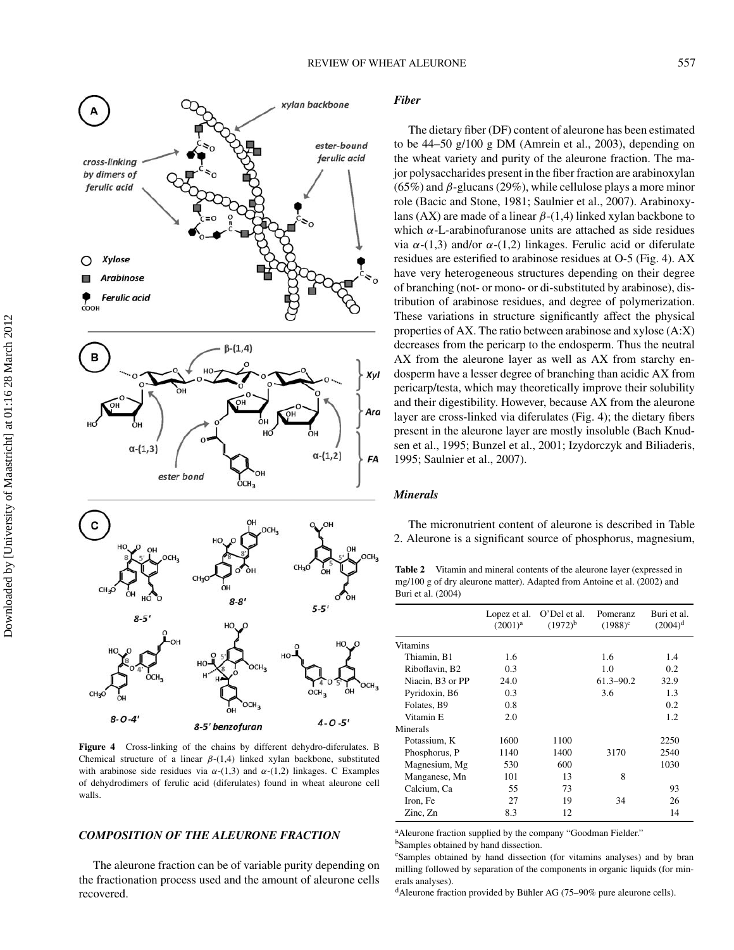

**Figure 4** Cross-linking of the chains by different dehydro-diferulates. B Chemical structure of a linear  $\beta$ -(1,4) linked xylan backbone, substituted with arabinose side residues via  $\alpha$ -(1,3) and  $\alpha$ -(1,2) linkages. C Examples of dehydrodimers of ferulic acid (diferulates) found in wheat aleurone cell walls.

# *COMPOSITION OF THE ALEURONE FRACTION*

The aleurone fraction can be of variable purity depending on the fractionation process used and the amount of aleurone cells recovered.

# *Fiber*

The dietary fiber (DF) content of aleurone has been estimated to be 44–50 g/100 g DM (Amrein et al., 2003), depending on the wheat variety and purity of the aleurone fraction. The major polysaccharides present in the fiber fraction are arabinoxylan  $(65%)$  and  $\beta$ -glucans (29%), while cellulose plays a more minor role (Bacic and Stone, 1981; Saulnier et al., 2007). Arabinoxylans (AX) are made of a linear  $\beta$ -(1,4) linked xylan backbone to which  $\alpha$ -L-arabinofuranose units are attached as side residues via  $\alpha$ -(1,3) and/or  $\alpha$ -(1,2) linkages. Ferulic acid or diferulate residues are esterified to arabinose residues at O-5 (Fig. 4). AX have very heterogeneous structures depending on their degree of branching (not- or mono- or di-substituted by arabinose), distribution of arabinose residues, and degree of polymerization. These variations in structure significantly affect the physical properties of AX. The ratio between arabinose and xylose (A:X) decreases from the pericarp to the endosperm. Thus the neutral AX from the aleurone layer as well as AX from starchy endosperm have a lesser degree of branching than acidic AX from pericarp/testa, which may theoretically improve their solubility and their digestibility. However, because AX from the aleurone layer are cross-linked via diferulates (Fig. 4); the dietary fibers present in the aleurone layer are mostly insoluble (Bach Knudsen et al., 1995; Bunzel et al., 2001; Izydorczyk and Biliaderis, 1995; Saulnier et al., 2007).

# *Minerals*

The micronutrient content of aleurone is described in Table 2. Aleurone is a significant source of phosphorus, magnesium,

**Table 2** Vitamin and mineral contents of the aleurone layer (expressed in mg/100 g of dry aleurone matter). Adapted from Antoine et al. (2002) and Buri et al. (2004)

|                  | Lopez et al.<br>$(2001)^{a}$ | O'Del et al.<br>$(1972)^{b}$ | Pomeranz<br>$(1988)^c$ | Buri et al.<br>$(2004)^d$ |
|------------------|------------------------------|------------------------------|------------------------|---------------------------|
| Vitamins         |                              |                              |                        |                           |
| Thiamin, B1      | 1.6                          |                              | 1.6                    | 1.4                       |
| Riboflavin, B2   | 0.3                          |                              | 1.0                    | 0.2                       |
| Niacin, B3 or PP | 24.0                         |                              | $61.3 - 90.2$          | 32.9                      |
| Pyridoxin, B6    | 0.3                          |                              | 3.6                    | 1.3                       |
| Folates, B9      | 0.8                          |                              |                        | 0.2                       |
| Vitamin E        | 2.0                          |                              |                        | 1.2                       |
| Minerals         |                              |                              |                        |                           |
| Potassium, K     | 1600                         | 1100                         |                        | 2250                      |
| Phosphorus, P    | 1140                         | 1400                         | 3170                   | 2540                      |
| Magnesium, Mg    | 530                          | 600                          |                        | 1030                      |
| Manganese, Mn    | 101                          | 13                           | 8                      |                           |
| Calcium, Ca      | 55                           | 73                           |                        | 93                        |
| Iron, Fe         | 27                           | 19                           | 34                     | 26                        |
| Zinc, Zn         | 8.3                          | 12                           |                        | 14                        |

<sup>a</sup> Aleurone fraction supplied by the company "Goodman Fielder."

<sup>b</sup>Samples obtained by hand dissection.

c Samples obtained by hand dissection (for vitamins analyses) and by bran milling followed by separation of the components in organic liquids (for minerals analyses).

 $dA$ leurone fraction provided by Bühler AG (75–90% pure aleurone cells).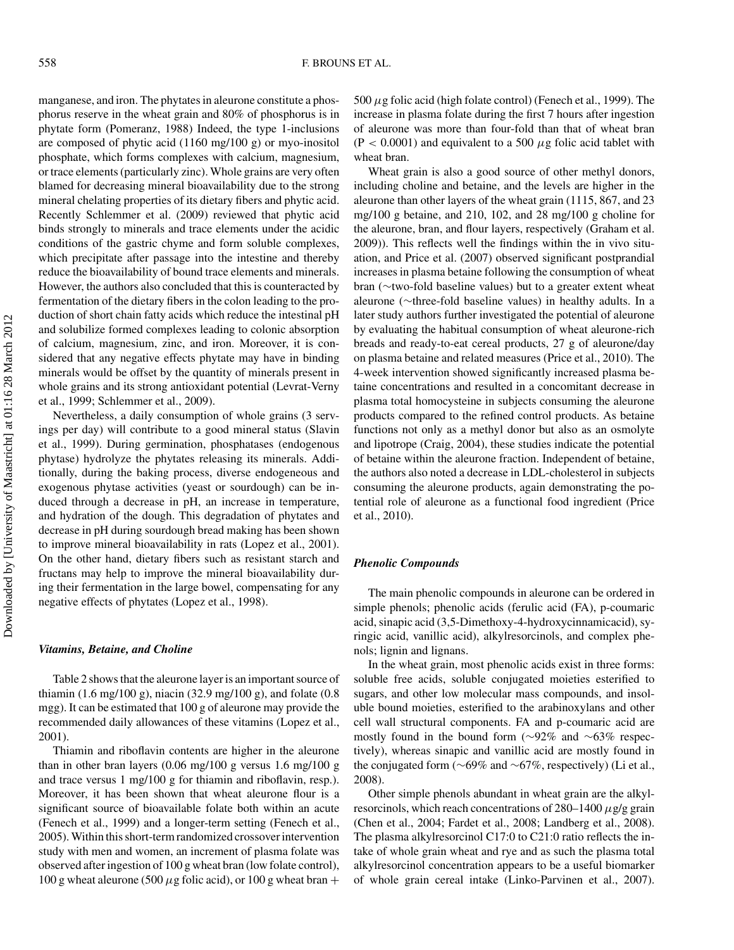manganese, and iron. The phytates in aleurone constitute a phosphorus reserve in the wheat grain and 80% of phosphorus is in phytate form (Pomeranz, 1988) Indeed, the type 1-inclusions are composed of phytic acid (1160 mg/100 g) or myo-inositol phosphate, which forms complexes with calcium, magnesium, or trace elements (particularly zinc). Whole grains are very often blamed for decreasing mineral bioavailability due to the strong mineral chelating properties of its dietary fibers and phytic acid. Recently Schlemmer et al. (2009) reviewed that phytic acid binds strongly to minerals and trace elements under the acidic conditions of the gastric chyme and form soluble complexes, which precipitate after passage into the intestine and thereby reduce the bioavailability of bound trace elements and minerals. However, the authors also concluded that this is counteracted by fermentation of the dietary fibers in the colon leading to the production of short chain fatty acids which reduce the intestinal pH and solubilize formed complexes leading to colonic absorption of calcium, magnesium, zinc, and iron. Moreover, it is considered that any negative effects phytate may have in binding minerals would be offset by the quantity of minerals present in whole grains and its strong antioxidant potential (Levrat-Verny et al., 1999; Schlemmer et al., 2009).

Nevertheless, a daily consumption of whole grains (3 servings per day) will contribute to a good mineral status (Slavin et al., 1999). During germination, phosphatases (endogenous phytase) hydrolyze the phytates releasing its minerals. Additionally, during the baking process, diverse endogeneous and exogenous phytase activities (yeast or sourdough) can be induced through a decrease in pH, an increase in temperature, and hydration of the dough. This degradation of phytates and decrease in pH during sourdough bread making has been shown to improve mineral bioavailability in rats (Lopez et al., 2001). On the other hand, dietary fibers such as resistant starch and fructans may help to improve the mineral bioavailability during their fermentation in the large bowel, compensating for any negative effects of phytates (Lopez et al., 1998).

#### *Vitamins, Betaine, and Choline*

Table 2 shows that the aleurone layer is an important source of thiamin (1.6 mg/100 g), niacin (32.9 mg/100 g), and folate (0.8 mgg). It can be estimated that 100 g of aleurone may provide the recommended daily allowances of these vitamins (Lopez et al., 2001).

Thiamin and riboflavin contents are higher in the aleurone than in other bran layers (0.06 mg/100 g versus 1.6 mg/100 g and trace versus 1 mg/100 g for thiamin and riboflavin, resp.). Moreover, it has been shown that wheat aleurone flour is a significant source of bioavailable folate both within an acute (Fenech et al., 1999) and a longer-term setting (Fenech et al., 2005). Within this short-term randomized crossover intervention study with men and women, an increment of plasma folate was observed after ingestion of 100 g wheat bran (low folate control), 100 g wheat aleurone (500  $\mu$ g folic acid), or 100 g wheat bran +

500  $\mu$ g folic acid (high folate control) (Fenech et al., 1999). The increase in plasma folate during the first 7 hours after ingestion of aleurone was more than four-fold than that of wheat bran  $(P < 0.0001)$  and equivalent to a 500  $\mu$ g folic acid tablet with wheat bran.

Wheat grain is also a good source of other methyl donors, including choline and betaine, and the levels are higher in the aleurone than other layers of the wheat grain (1115, 867, and 23 mg/100 g betaine, and 210, 102, and 28 mg/100 g choline for the aleurone, bran, and flour layers, respectively (Graham et al. 2009)). This reflects well the findings within the in vivo situation, and Price et al. (2007) observed significant postprandial increases in plasma betaine following the consumption of wheat bran (∼two-fold baseline values) but to a greater extent wheat aleurone (∼three-fold baseline values) in healthy adults. In a later study authors further investigated the potential of aleurone by evaluating the habitual consumption of wheat aleurone-rich breads and ready-to-eat cereal products, 27 g of aleurone/day on plasma betaine and related measures (Price et al., 2010). The 4-week intervention showed significantly increased plasma betaine concentrations and resulted in a concomitant decrease in plasma total homocysteine in subjects consuming the aleurone products compared to the refined control products. As betaine functions not only as a methyl donor but also as an osmolyte and lipotrope (Craig, 2004), these studies indicate the potential of betaine within the aleurone fraction. Independent of betaine, the authors also noted a decrease in LDL-cholesterol in subjects consuming the aleurone products, again demonstrating the potential role of aleurone as a functional food ingredient (Price et al., 2010).

#### *Phenolic Compounds*

The main phenolic compounds in aleurone can be ordered in simple phenols; phenolic acids (ferulic acid (FA), p-coumaric acid, sinapic acid (3,5-Dimethoxy-4-hydroxycinnamicacid), syringic acid, vanillic acid), alkylresorcinols, and complex phenols; lignin and lignans.

In the wheat grain, most phenolic acids exist in three forms: soluble free acids, soluble conjugated moieties esterified to sugars, and other low molecular mass compounds, and insoluble bound moieties, esterified to the arabinoxylans and other cell wall structural components. FA and p-coumaric acid are mostly found in the bound form (∼92% and ∼63% respectively), whereas sinapic and vanillic acid are mostly found in the conjugated form (∼69% and ∼67%, respectively) (Li et al., 2008).

Other simple phenols abundant in wheat grain are the alkylresorcinols, which reach concentrations of 280–1400  $\mu$ g/g grain (Chen et al., 2004; Fardet et al., 2008; Landberg et al., 2008). The plasma alkylresorcinol C17:0 to C21:0 ratio reflects the intake of whole grain wheat and rye and as such the plasma total alkylresorcinol concentration appears to be a useful biomarker of whole grain cereal intake (Linko-Parvinen et al., 2007).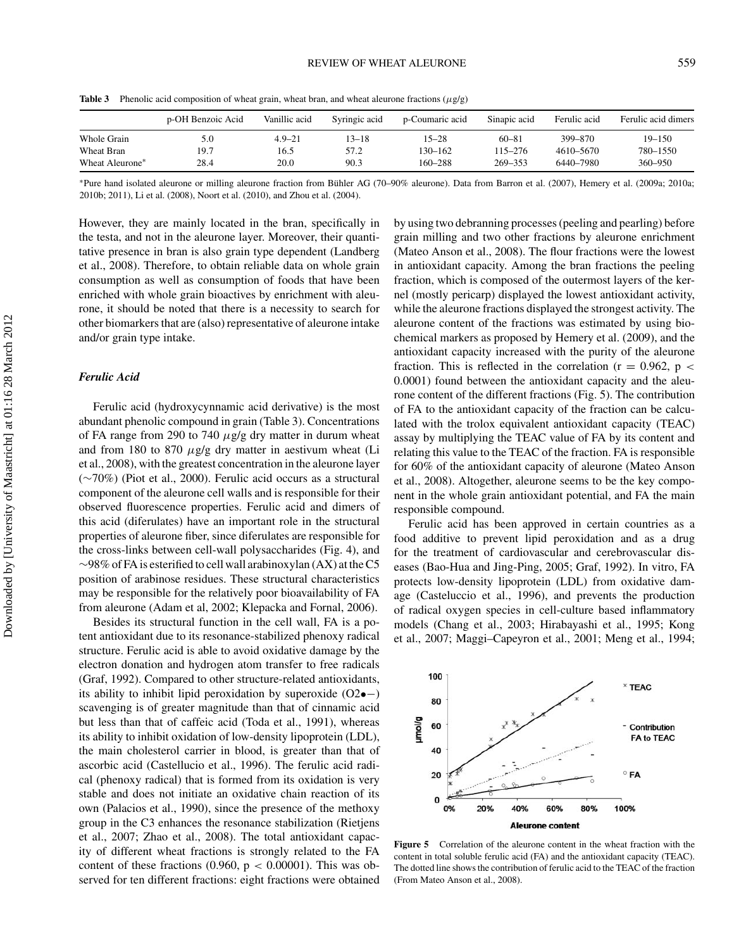|                 | p-OH Benzoic Acid | Vanillic acid | Syringic acid | p-Coumaric acid | Sinapic acid | Ferulic acid | Ferulic acid dimers |
|-----------------|-------------------|---------------|---------------|-----------------|--------------|--------------|---------------------|
| Whole Grain     | 5.0               | $4.9 - 21$    | $-18$         | $15 - 28$       | $60 - 81$    | 399-870      | 19–150              |
| Wheat Bran      | 19.7              | 16.5          | 57.2          | 130–162         | 115–276      | 4610-5670    | 780-1550            |
| Wheat Aleurone* | 28.4              | 20.0          | 90.3          | 160–288         | $269 - 353$  | 6440-7980    | $360 - 950$         |

**Table 3** Phenolic acid composition of wheat grain, wheat bran, and wheat aleurone fractions  $(\mu g/g)$ 

∗Pure hand isolated aleurone or milling aleurone fraction from Buhler AG (70–90% aleurone). Data from Barron et al. (2007), Hemery et al. (2009a; 2010a; ¨ 2010b; 2011), Li et al. (2008), Noort et al. (2010), and Zhou et al. (2004).

However, they are mainly located in the bran, specifically in the testa, and not in the aleurone layer. Moreover, their quantitative presence in bran is also grain type dependent (Landberg et al., 2008). Therefore, to obtain reliable data on whole grain consumption as well as consumption of foods that have been enriched with whole grain bioactives by enrichment with aleurone, it should be noted that there is a necessity to search for other biomarkers that are (also) representative of aleurone intake and/or grain type intake.

# *Ferulic Acid*

Ferulic acid (hydroxycynnamic acid derivative) is the most abundant phenolic compound in grain (Table 3). Concentrations of FA range from 290 to 740  $\mu$ g/g dry matter in durum wheat and from 180 to 870  $\mu$ g/g dry matter in aestivum wheat (Li et al., 2008), with the greatest concentration in the aleurone layer (∼70%) (Piot et al., 2000). Ferulic acid occurs as a structural component of the aleurone cell walls and is responsible for their observed fluorescence properties. Ferulic acid and dimers of this acid (diferulates) have an important role in the structural properties of aleurone fiber, since diferulates are responsible for the cross-links between cell-wall polysaccharides (Fig. 4), and ∼98% of FA is esterified to cell wall arabinoxylan (AX) at the C5 position of arabinose residues. These structural characteristics may be responsible for the relatively poor bioavailability of FA from aleurone (Adam et al, 2002; Klepacka and Fornal, 2006).

Besides its structural function in the cell wall, FA is a potent antioxidant due to its resonance-stabilized phenoxy radical structure. Ferulic acid is able to avoid oxidative damage by the electron donation and hydrogen atom transfer to free radicals (Graf, 1992). Compared to other structure-related antioxidants, its ability to inhibit lipid peroxidation by superoxide (O2•−) scavenging is of greater magnitude than that of cinnamic acid but less than that of caffeic acid (Toda et al., 1991), whereas its ability to inhibit oxidation of low-density lipoprotein (LDL), the main cholesterol carrier in blood, is greater than that of ascorbic acid (Castellucio et al., 1996). The ferulic acid radical (phenoxy radical) that is formed from its oxidation is very stable and does not initiate an oxidative chain reaction of its own (Palacios et al., 1990), since the presence of the methoxy group in the C3 enhances the resonance stabilization (Rietjens et al., 2007; Zhao et al., 2008). The total antioxidant capacity of different wheat fractions is strongly related to the FA content of these fractions (0.960,  $p < 0.00001$ ). This was observed for ten different fractions: eight fractions were obtained by using two debranning processes (peeling and pearling) before grain milling and two other fractions by aleurone enrichment (Mateo Anson et al., 2008). The flour fractions were the lowest in antioxidant capacity. Among the bran fractions the peeling fraction, which is composed of the outermost layers of the kernel (mostly pericarp) displayed the lowest antioxidant activity, while the aleurone fractions displayed the strongest activity. The aleurone content of the fractions was estimated by using biochemical markers as proposed by Hemery et al. (2009), and the antioxidant capacity increased with the purity of the aleurone fraction. This is reflected in the correlation ( $r = 0.962$ ,  $p <$ 0.0001) found between the antioxidant capacity and the aleurone content of the different fractions (Fig. 5). The contribution of FA to the antioxidant capacity of the fraction can be calculated with the trolox equivalent antioxidant capacity (TEAC) assay by multiplying the TEAC value of FA by its content and relating this value to the TEAC of the fraction. FA is responsible for 60% of the antioxidant capacity of aleurone (Mateo Anson et al., 2008). Altogether, aleurone seems to be the key component in the whole grain antioxidant potential, and FA the main responsible compound.

Ferulic acid has been approved in certain countries as a food additive to prevent lipid peroxidation and as a drug for the treatment of cardiovascular and cerebrovascular diseases (Bao-Hua and Jing-Ping, 2005; Graf, 1992). In vitro, FA protects low-density lipoprotein (LDL) from oxidative damage (Casteluccio et al., 1996), and prevents the production of radical oxygen species in cell-culture based inflammatory models (Chang et al., 2003; Hirabayashi et al., 1995; Kong et al., 2007; Maggi–Capeyron et al., 2001; Meng et al., 1994;



**Figure 5** Correlation of the aleurone content in the wheat fraction with the content in total soluble ferulic acid (FA) and the antioxidant capacity (TEAC). The dotted line shows the contribution of ferulic acid to the TEAC of the fraction (From Mateo Anson et al., 2008).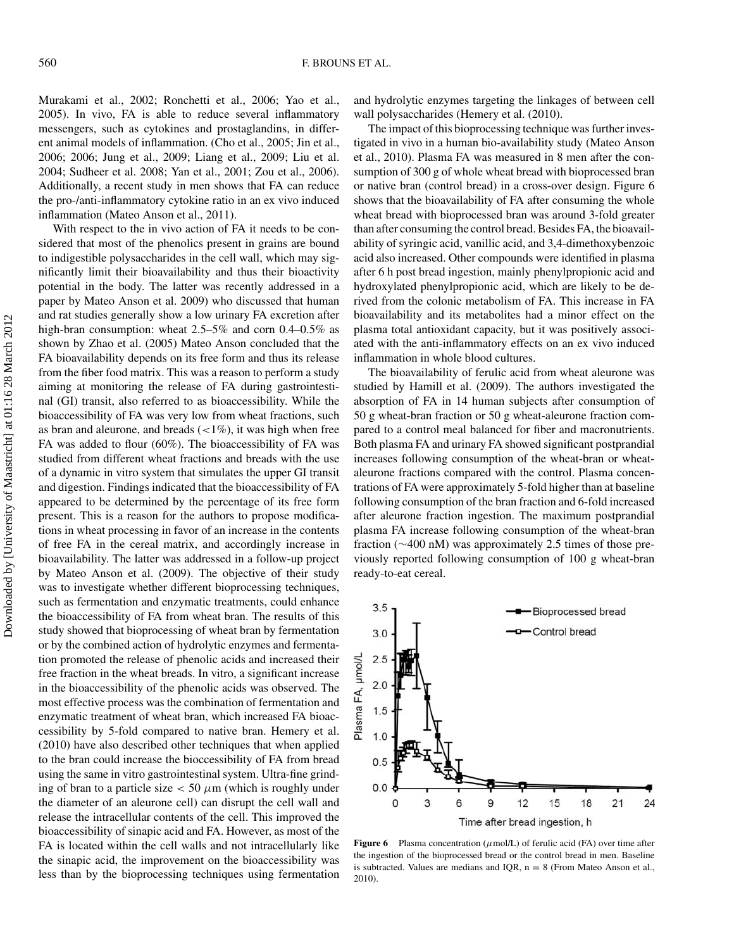Murakami et al., 2002; Ronchetti et al., 2006; Yao et al., 2005). In vivo, FA is able to reduce several inflammatory messengers, such as cytokines and prostaglandins, in different animal models of inflammation. (Cho et al., 2005; Jin et al., 2006; 2006; Jung et al., 2009; Liang et al., 2009; Liu et al. 2004; Sudheer et al. 2008; Yan et al., 2001; Zou et al., 2006). Additionally, a recent study in men shows that FA can reduce the pro-/anti-inflammatory cytokine ratio in an ex vivo induced inflammation (Mateo Anson et al., 2011).

With respect to the in vivo action of FA it needs to be considered that most of the phenolics present in grains are bound to indigestible polysaccharides in the cell wall, which may significantly limit their bioavailability and thus their bioactivity potential in the body. The latter was recently addressed in a paper by Mateo Anson et al. 2009) who discussed that human and rat studies generally show a low urinary FA excretion after high-bran consumption: wheat 2.5–5% and corn 0.4–0.5% as shown by Zhao et al. (2005) Mateo Anson concluded that the FA bioavailability depends on its free form and thus its release from the fiber food matrix. This was a reason to perform a study aiming at monitoring the release of FA during gastrointestinal (GI) transit, also referred to as bioaccessibility. While the bioaccessibility of FA was very low from wheat fractions, such as bran and aleurone, and breads  $\left( \langle 1\% \rangle \right)$ , it was high when free FA was added to flour (60%). The bioaccessibility of FA was studied from different wheat fractions and breads with the use of a dynamic in vitro system that simulates the upper GI transit and digestion. Findings indicated that the bioaccessibility of FA appeared to be determined by the percentage of its free form present. This is a reason for the authors to propose modifications in wheat processing in favor of an increase in the contents of free FA in the cereal matrix, and accordingly increase in bioavailability. The latter was addressed in a follow-up project by Mateo Anson et al. (2009). The objective of their study was to investigate whether different bioprocessing techniques, such as fermentation and enzymatic treatments, could enhance the bioaccessibility of FA from wheat bran. The results of this study showed that bioprocessing of wheat bran by fermentation or by the combined action of hydrolytic enzymes and fermentation promoted the release of phenolic acids and increased their free fraction in the wheat breads. In vitro, a significant increase in the bioaccessibility of the phenolic acids was observed. The most effective process was the combination of fermentation and enzymatic treatment of wheat bran, which increased FA bioaccessibility by 5-fold compared to native bran. Hemery et al. (2010) have also described other techniques that when applied to the bran could increase the bioccessibility of FA from bread using the same in vitro gastrointestinal system. Ultra-fine grinding of bran to a particle size  $<$  50  $\mu$ m (which is roughly under the diameter of an aleurone cell) can disrupt the cell wall and release the intracellular contents of the cell. This improved the bioaccessibility of sinapic acid and FA. However, as most of the FA is located within the cell walls and not intracellularly like the sinapic acid, the improvement on the bioaccessibility was less than by the bioprocessing techniques using fermentation and hydrolytic enzymes targeting the linkages of between cell wall polysaccharides (Hemery et al. (2010).

The impact of this bioprocessing technique was further investigated in vivo in a human bio-availability study (Mateo Anson et al., 2010). Plasma FA was measured in 8 men after the consumption of 300 g of whole wheat bread with bioprocessed bran or native bran (control bread) in a cross-over design. Figure 6 shows that the bioavailability of FA after consuming the whole wheat bread with bioprocessed bran was around 3-fold greater than after consuming the control bread. Besides FA, the bioavailability of syringic acid, vanillic acid, and 3,4-dimethoxybenzoic acid also increased. Other compounds were identified in plasma after 6 h post bread ingestion, mainly phenylpropionic acid and hydroxylated phenylpropionic acid, which are likely to be derived from the colonic metabolism of FA. This increase in FA bioavailability and its metabolites had a minor effect on the plasma total antioxidant capacity, but it was positively associated with the anti-inflammatory effects on an ex vivo induced inflammation in whole blood cultures.

The bioavailability of ferulic acid from wheat aleurone was studied by Hamill et al. (2009). The authors investigated the absorption of FA in 14 human subjects after consumption of 50 g wheat-bran fraction or 50 g wheat-aleurone fraction compared to a control meal balanced for fiber and macronutrients. Both plasma FA and urinary FA showed significant postprandial increases following consumption of the wheat-bran or wheataleurone fractions compared with the control. Plasma concentrations of FA were approximately 5-fold higher than at baseline following consumption of the bran fraction and 6-fold increased after aleurone fraction ingestion. The maximum postprandial plasma FA increase following consumption of the wheat-bran fraction (∼400 nM) was approximately 2.5 times of those previously reported following consumption of 100 g wheat-bran ready-to-eat cereal.



**Figure 6** Plasma concentration ( $\mu$ mol/L) of ferulic acid (FA) over time after the ingestion of the bioprocessed bread or the control bread in men. Baseline is subtracted. Values are medians and IQR,  $n = 8$  (From Mateo Anson et al., 2010).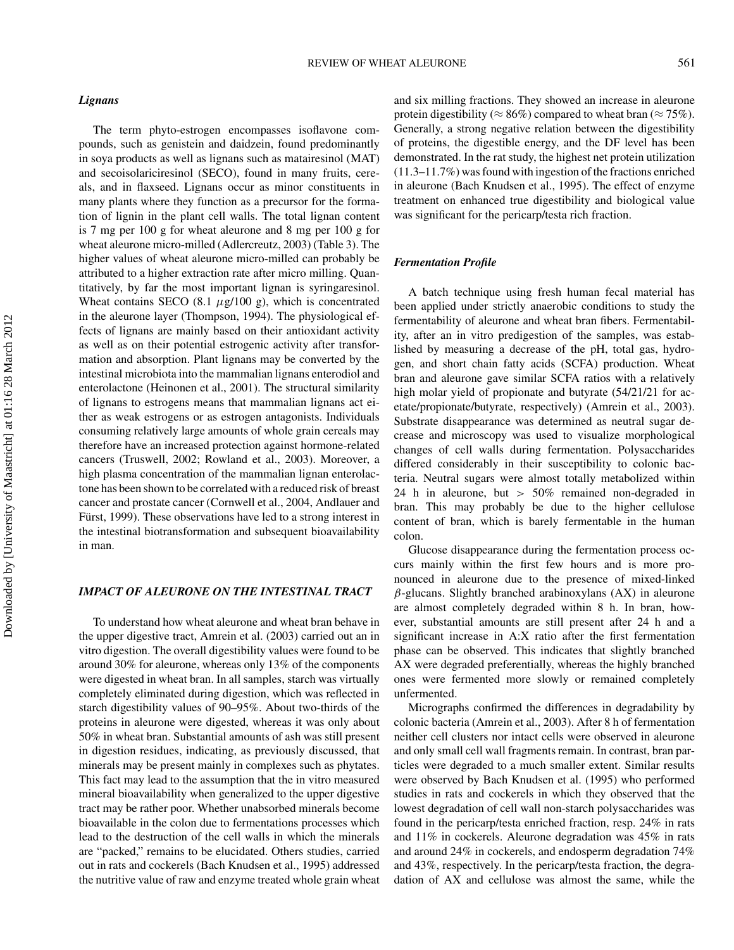#### *Lignans*

The term phyto-estrogen encompasses isoflavone compounds, such as genistein and daidzein, found predominantly in soya products as well as lignans such as matairesinol (MAT) and secoisolariciresinol (SECO), found in many fruits, cereals, and in flaxseed. Lignans occur as minor constituents in many plants where they function as a precursor for the formation of lignin in the plant cell walls. The total lignan content is 7 mg per 100 g for wheat aleurone and 8 mg per 100 g for wheat aleurone micro-milled (Adlercreutz, 2003) (Table 3). The higher values of wheat aleurone micro-milled can probably be attributed to a higher extraction rate after micro milling. Quantitatively, by far the most important lignan is syringaresinol. Wheat contains SECO (8.1  $\mu$ g/100 g), which is concentrated in the aleurone layer (Thompson, 1994). The physiological effects of lignans are mainly based on their antioxidant activity as well as on their potential estrogenic activity after transformation and absorption. Plant lignans may be converted by the intestinal microbiota into the mammalian lignans enterodiol and enterolactone (Heinonen et al., 2001). The structural similarity of lignans to estrogens means that mammalian lignans act either as weak estrogens or as estrogen antagonists. Individuals consuming relatively large amounts of whole grain cereals may therefore have an increased protection against hormone-related cancers (Truswell, 2002; Rowland et al., 2003). Moreover, a high plasma concentration of the mammalian lignan enterolactone has been shown to be correlated with a reduced risk of breast cancer and prostate cancer (Cornwell et al., 2004, Andlauer and Fürst, 1999). These observations have led to a strong interest in the intestinal biotransformation and subsequent bioavailability in man.

# *IMPACT OF ALEURONE ON THE INTESTINAL TRACT*

To understand how wheat aleurone and wheat bran behave in the upper digestive tract, Amrein et al. (2003) carried out an in vitro digestion. The overall digestibility values were found to be around 30% for aleurone, whereas only 13% of the components were digested in wheat bran. In all samples, starch was virtually completely eliminated during digestion, which was reflected in starch digestibility values of 90–95%. About two-thirds of the proteins in aleurone were digested, whereas it was only about 50% in wheat bran. Substantial amounts of ash was still present in digestion residues, indicating, as previously discussed, that minerals may be present mainly in complexes such as phytates. This fact may lead to the assumption that the in vitro measured mineral bioavailability when generalized to the upper digestive tract may be rather poor. Whether unabsorbed minerals become bioavailable in the colon due to fermentations processes which lead to the destruction of the cell walls in which the minerals are "packed," remains to be elucidated. Others studies, carried out in rats and cockerels (Bach Knudsen et al., 1995) addressed the nutritive value of raw and enzyme treated whole grain wheat

and six milling fractions. They showed an increase in aleurone protein digestibility ( $\approx 86\%$ ) compared to wheat bran ( $\approx 75\%$ ). Generally, a strong negative relation between the digestibility of proteins, the digestible energy, and the DF level has been demonstrated. In the rat study, the highest net protein utilization (11.3–11.7%) was found with ingestion of the fractions enriched in aleurone (Bach Knudsen et al., 1995). The effect of enzyme treatment on enhanced true digestibility and biological value was significant for the pericarp/testa rich fraction.

# *Fermentation Profile*

A batch technique using fresh human fecal material has been applied under strictly anaerobic conditions to study the fermentability of aleurone and wheat bran fibers. Fermentability, after an in vitro predigestion of the samples, was established by measuring a decrease of the pH, total gas, hydrogen, and short chain fatty acids (SCFA) production. Wheat bran and aleurone gave similar SCFA ratios with a relatively high molar yield of propionate and butyrate  $(54/21/21)$  for acetate/propionate/butyrate, respectively) (Amrein et al., 2003). Substrate disappearance was determined as neutral sugar decrease and microscopy was used to visualize morphological changes of cell walls during fermentation. Polysaccharides differed considerably in their susceptibility to colonic bacteria. Neutral sugars were almost totally metabolized within 24 h in aleurone, but > 50% remained non-degraded in bran. This may probably be due to the higher cellulose content of bran, which is barely fermentable in the human colon.

Glucose disappearance during the fermentation process occurs mainly within the first few hours and is more pronounced in aleurone due to the presence of mixed-linked  $\beta$ -glucans. Slightly branched arabinoxylans (AX) in aleurone are almost completely degraded within 8 h. In bran, however, substantial amounts are still present after 24 h and a significant increase in A:X ratio after the first fermentation phase can be observed. This indicates that slightly branched AX were degraded preferentially, whereas the highly branched ones were fermented more slowly or remained completely unfermented.

Micrographs confirmed the differences in degradability by colonic bacteria (Amrein et al., 2003). After 8 h of fermentation neither cell clusters nor intact cells were observed in aleurone and only small cell wall fragments remain. In contrast, bran particles were degraded to a much smaller extent. Similar results were observed by Bach Knudsen et al. (1995) who performed studies in rats and cockerels in which they observed that the lowest degradation of cell wall non-starch polysaccharides was found in the pericarp/testa enriched fraction, resp. 24% in rats and 11% in cockerels. Aleurone degradation was 45% in rats and around 24% in cockerels, and endosperm degradation 74% and 43%, respectively. In the pericarp/testa fraction, the degradation of AX and cellulose was almost the same, while the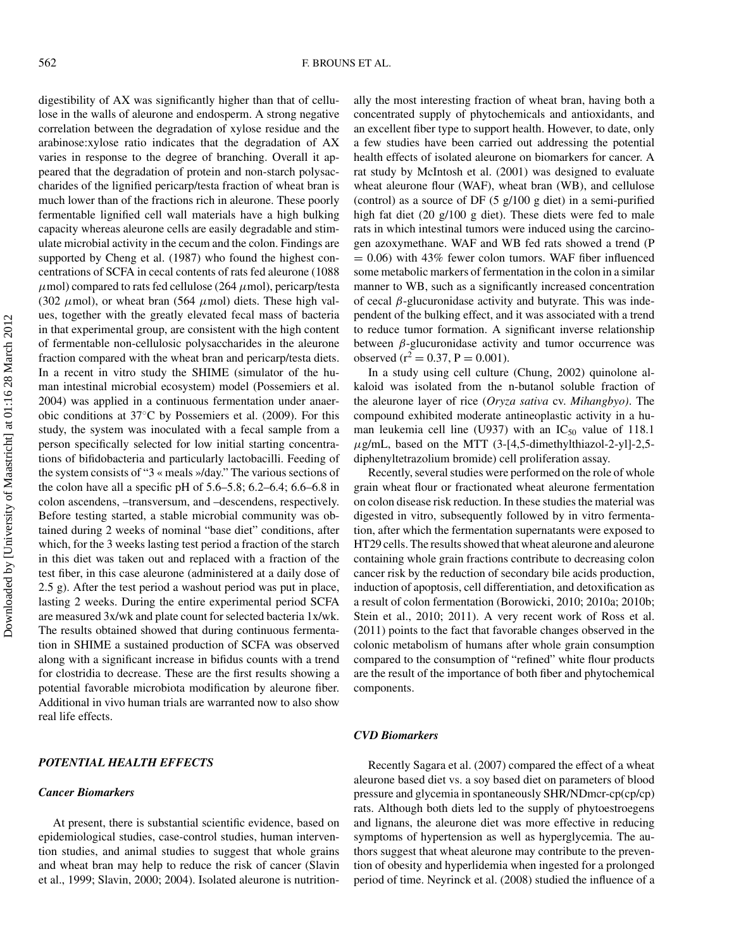digestibility of AX was significantly higher than that of cellulose in the walls of aleurone and endosperm. A strong negative correlation between the degradation of xylose residue and the arabinose:xylose ratio indicates that the degradation of AX varies in response to the degree of branching. Overall it appeared that the degradation of protein and non-starch polysaccharides of the lignified pericarp/testa fraction of wheat bran is much lower than of the fractions rich in aleurone. These poorly fermentable lignified cell wall materials have a high bulking capacity whereas aleurone cells are easily degradable and stimulate microbial activity in the cecum and the colon. Findings are supported by Cheng et al. (1987) who found the highest concentrations of SCFA in cecal contents of rats fed aleurone (1088  $\mu$ mol) compared to rats fed cellulose (264  $\mu$ mol), pericarp/testa (302  $\mu$ mol), or wheat bran (564  $\mu$ mol) diets. These high values, together with the greatly elevated fecal mass of bacteria in that experimental group, are consistent with the high content of fermentable non-cellulosic polysaccharides in the aleurone fraction compared with the wheat bran and pericarp/testa diets. In a recent in vitro study the SHIME (simulator of the human intestinal microbial ecosystem) model (Possemiers et al. 2004) was applied in a continuous fermentation under anaerobic conditions at 37◦C by Possemiers et al. (2009). For this study, the system was inoculated with a fecal sample from a person specifically selected for low initial starting concentrations of bifidobacteria and particularly lactobacilli. Feeding of the system consists of "3 « meals »/day." The various sections of the colon have all a specific pH of 5.6–5.8; 6.2–6.4; 6.6–6.8 in colon ascendens, –transversum, and –descendens, respectively. Before testing started, a stable microbial community was obtained during 2 weeks of nominal "base diet" conditions, after which, for the 3 weeks lasting test period a fraction of the starch in this diet was taken out and replaced with a fraction of the test fiber, in this case aleurone (administered at a daily dose of 2.5 g). After the test period a washout period was put in place, lasting 2 weeks. During the entire experimental period SCFA are measured 3x/wk and plate count for selected bacteria 1x/wk. The results obtained showed that during continuous fermentation in SHIME a sustained production of SCFA was observed along with a significant increase in bifidus counts with a trend for clostridia to decrease. These are the first results showing a potential favorable microbiota modification by aleurone fiber. Additional in vivo human trials are warranted now to also show real life effects.

# *POTENTIAL HEALTH EFFECTS*

# *Cancer Biomarkers*

At present, there is substantial scientific evidence, based on epidemiological studies, case-control studies, human intervention studies, and animal studies to suggest that whole grains and wheat bran may help to reduce the risk of cancer (Slavin et al., 1999; Slavin, 2000; 2004). Isolated aleurone is nutritionally the most interesting fraction of wheat bran, having both a concentrated supply of phytochemicals and antioxidants, and an excellent fiber type to support health. However, to date, only a few studies have been carried out addressing the potential health effects of isolated aleurone on biomarkers for cancer. A rat study by McIntosh et al. (2001) was designed to evaluate wheat aleurone flour (WAF), wheat bran (WB), and cellulose (control) as a source of DF  $(5 \text{ g}/100 \text{ g}$  diet) in a semi-purified high fat diet (20 g/100 g diet). These diets were fed to male rats in which intestinal tumors were induced using the carcinogen azoxymethane. WAF and WB fed rats showed a trend (P  $= 0.06$ ) with 43% fewer colon tumors. WAF fiber influenced some metabolic markers of fermentation in the colon in a similar manner to WB, such as a significantly increased concentration of cecal  $\beta$ -glucuronidase activity and butyrate. This was independent of the bulking effect, and it was associated with a trend to reduce tumor formation. A significant inverse relationship between  $\beta$ -glucuronidase activity and tumor occurrence was observed ( $r^2 = 0.37$ ,  $P = 0.001$ ).

In a study using cell culture (Chung, 2002) quinolone alkaloid was isolated from the n-butanol soluble fraction of the aleurone layer of rice (*Oryza sativa* cv. *Mihangbyo)*. The compound exhibited moderate antineoplastic activity in a human leukemia cell line (U937) with an  $IC_{50}$  value of 118.1  $\mu$ g/mL, based on the MTT (3-[4,5-dimethylthiazol-2-yl]-2,5diphenyltetrazolium bromide) cell proliferation assay.

Recently, several studies were performed on the role of whole grain wheat flour or fractionated wheat aleurone fermentation on colon disease risk reduction. In these studies the material was digested in vitro, subsequently followed by in vitro fermentation, after which the fermentation supernatants were exposed to HT29 cells. The results showed that wheat aleurone and aleurone containing whole grain fractions contribute to decreasing colon cancer risk by the reduction of secondary bile acids production, induction of apoptosis, cell differentiation, and detoxification as a result of colon fermentation (Borowicki, 2010; 2010a; 2010b; Stein et al., 2010; 2011). A very recent work of Ross et al. (2011) points to the fact that favorable changes observed in the colonic metabolism of humans after whole grain consumption compared to the consumption of "refined" white flour products are the result of the importance of both fiber and phytochemical components.

# *CVD Biomarkers*

Recently Sagara et al. (2007) compared the effect of a wheat aleurone based diet vs. a soy based diet on parameters of blood pressure and glycemia in spontaneously SHR/NDmcr-cp(cp/cp) rats. Although both diets led to the supply of phytoestroegens and lignans, the aleurone diet was more effective in reducing symptoms of hypertension as well as hyperglycemia. The authors suggest that wheat aleurone may contribute to the prevention of obesity and hyperlidemia when ingested for a prolonged period of time. Neyrinck et al. (2008) studied the influence of a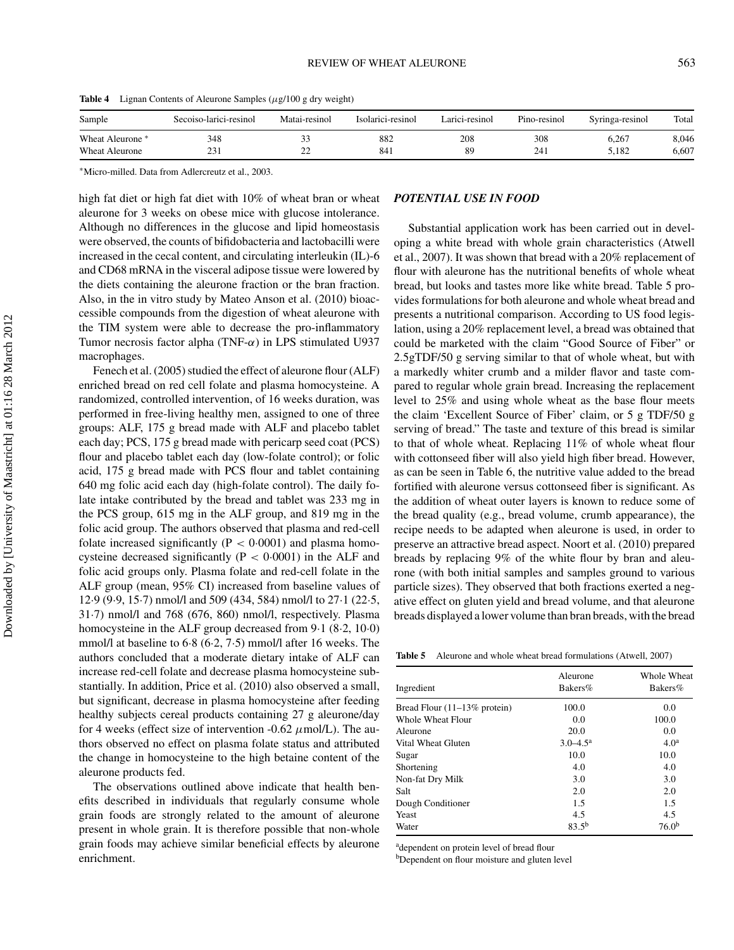| Sample                      | Secoiso-larici-resinol | Matai-resinol | Isolarici-resinol | Larici-resinol | Pino-resinol | Syringa-resinol | Total |
|-----------------------------|------------------------|---------------|-------------------|----------------|--------------|-----------------|-------|
| Wheat Aleurone <sup>*</sup> | 348                    | ت ب           | 882               | 208            | 308          | 6.267           | 8,046 |
| <b>Wheat Aleurone</b>       | 231                    | --            | 841               | 89             | 241          | 5.182           | 6,607 |

**Table 4** Lignan Contents of Aleurone Samples ( $\mu$ g/100 g dry weight)

∗Micro-milled. Data from Adlercreutz et al., 2003.

high fat diet or high fat diet with 10% of wheat bran or wheat aleurone for 3 weeks on obese mice with glucose intolerance. Although no differences in the glucose and lipid homeostasis were observed, the counts of bifidobacteria and lactobacilli were increased in the cecal content, and circulating interleukin (IL)-6 and CD68 mRNA in the visceral adipose tissue were lowered by the diets containing the aleurone fraction or the bran fraction. Also, in the in vitro study by Mateo Anson et al. (2010) bioaccessible compounds from the digestion of wheat aleurone with the TIM system were able to decrease the pro-inflammatory Tumor necrosis factor alpha (TNF- $\alpha$ ) in LPS stimulated U937 macrophages.

Fenech et al. (2005) studied the effect of aleurone flour (ALF) enriched bread on red cell folate and plasma homocysteine. A randomized, controlled intervention, of 16 weeks duration, was performed in free-living healthy men, assigned to one of three groups: ALF, 175 g bread made with ALF and placebo tablet each day; PCS, 175 g bread made with pericarp seed coat (PCS) flour and placebo tablet each day (low-folate control); or folic acid, 175 g bread made with PCS flour and tablet containing 640 mg folic acid each day (high-folate control). The daily folate intake contributed by the bread and tablet was 233 mg in the PCS group, 615 mg in the ALF group, and 819 mg in the folic acid group. The authors observed that plasma and red-cell folate increased significantly ( $P < 0.0001$ ) and plasma homocysteine decreased significantly ( $P < 0.0001$ ) in the ALF and folic acid groups only. Plasma folate and red-cell folate in the ALF group (mean, 95% CI) increased from baseline values of 12·9 (9·9, 15·7) nmol/l and 509 (434, 584) nmol/l to 27·1 (22·5, 31·7) nmol/l and 768 (676, 860) nmol/l, respectively. Plasma homocysteine in the ALF group decreased from 9·1 (8·2, 10·0) mmol/l at baseline to 6·8 (6·2, 7·5) mmol/l after 16 weeks. The authors concluded that a moderate dietary intake of ALF can increase red-cell folate and decrease plasma homocysteine substantially. In addition, Price et al. (2010) also observed a small, but significant, decrease in plasma homocysteine after feeding healthy subjects cereal products containing 27 g aleurone/day for 4 weeks (effect size of intervention -0.62  $\mu$ mol/L). The authors observed no effect on plasma folate status and attributed the change in homocysteine to the high betaine content of the aleurone products fed.

The observations outlined above indicate that health benefits described in individuals that regularly consume whole grain foods are strongly related to the amount of aleurone present in whole grain. It is therefore possible that non-whole grain foods may achieve similar beneficial effects by aleurone enrichment.

# *POTENTIAL USE IN FOOD*

Substantial application work has been carried out in developing a white bread with whole grain characteristics (Atwell et al., 2007). It was shown that bread with a 20% replacement of flour with aleurone has the nutritional benefits of whole wheat bread, but looks and tastes more like white bread. Table 5 provides formulations for both aleurone and whole wheat bread and presents a nutritional comparison. According to US food legislation, using a 20% replacement level, a bread was obtained that could be marketed with the claim "Good Source of Fiber" or 2.5gTDF/50 g serving similar to that of whole wheat, but with a markedly whiter crumb and a milder flavor and taste compared to regular whole grain bread. Increasing the replacement level to 25% and using whole wheat as the base flour meets the claim 'Excellent Source of Fiber' claim, or 5 g TDF/50 g serving of bread." The taste and texture of this bread is similar to that of whole wheat. Replacing 11% of whole wheat flour with cottonseed fiber will also yield high fiber bread. However, as can be seen in Table 6, the nutritive value added to the bread fortified with aleurone versus cottonseed fiber is significant. As the addition of wheat outer layers is known to reduce some of the bread quality (e.g., bread volume, crumb appearance), the recipe needs to be adapted when aleurone is used, in order to preserve an attractive bread aspect. Noort et al. (2010) prepared breads by replacing 9% of the white flour by bran and aleurone (with both initial samples and samples ground to various particle sizes). They observed that both fractions exerted a negative effect on gluten yield and bread volume, and that aleurone breads displayed a lower volume than bran breads, with the bread

**Table 5** Aleurone and whole wheat bread formulations (Atwell, 2007)

| Ingredient                      | Aleurone<br>Bakers%    | <b>Whole Wheat</b><br>Bakers% |
|---------------------------------|------------------------|-------------------------------|
| Bread Flour $(11-13\%$ protein) | 100.0                  | 0.0                           |
| Whole Wheat Flour               | 0.0                    | 100.0                         |
| Aleurone                        | 20.0                   | 0.0                           |
| Vital Wheat Gluten              | $3.0 - 4.5^{\text{a}}$ | 4.0 <sup>a</sup>              |
| Sugar                           | 10.0                   | 10.0                          |
| Shortening                      | 4.0                    | 4.0                           |
| Non-fat Dry Milk                | 3.0                    | 3.0                           |
| Salt                            | 2.0                    | 2.0                           |
| Dough Conditioner               | 1.5                    | 1.5                           |
| Yeast                           | 4.5                    | 4.5                           |
| Water                           | $83.5^{b}$             | $76.0^{b}$                    |

adependent on protein level of bread flour

b<sub>Dependent</sub> on flour moisture and gluten level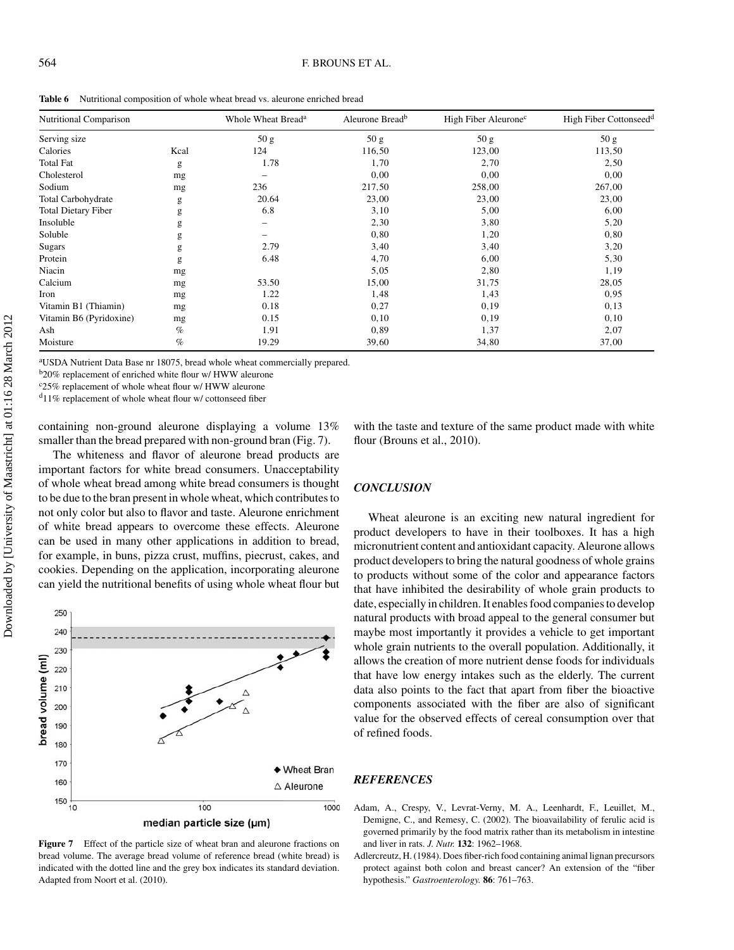Downloaded by [University of Maastricht] at 01:16 28 March 2012 Downloaded by [University of Maastricht] at 01:16 28 March 2012

Table 6 Nutritional composition of whole wheat bread vs. aleurone enriched bread

| Nutritional Comparison     |      | Whole Wheat Bread <sup>a</sup> | Aleurone Bread <sup>b</sup> | High Fiber Aleurone <sup>c</sup> | High Fiber Cottonseed <sup>d</sup> |  |
|----------------------------|------|--------------------------------|-----------------------------|----------------------------------|------------------------------------|--|
| Serving size               |      | 50 g                           | 50 g                        | 50 g                             | 50 g                               |  |
| Calories                   | Kcal | 124                            | 116,50                      | 123,00                           | 113,50                             |  |
| <b>Total Fat</b>           | g    | 1.78                           | 1,70                        | 2,70                             | 2,50                               |  |
| Cholesterol                | mg   |                                | 0.00                        | 0.00                             | 0,00                               |  |
| Sodium                     | mg   | 236                            | 217,50                      | 258,00                           | 267,00                             |  |
| <b>Total Carbohydrate</b>  | g    | 20.64                          | 23,00                       | 23,00                            | 23,00                              |  |
| <b>Total Dietary Fiber</b> | g    | 6.8                            | 3,10                        | 5,00                             | 6,00                               |  |
| Insoluble                  | g    |                                | 2,30                        | 3,80                             | 5,20                               |  |
| Soluble                    | g    |                                | 0,80                        | 1,20                             | 0,80                               |  |
| Sugars                     | g    | 2.79                           | 3,40                        | 3,40                             | 3,20                               |  |
| Protein                    | g    | 6.48                           | 4,70                        | 6,00                             | 5,30                               |  |
| Niacin                     | mg   |                                | 5,05                        | 2,80                             | 1,19                               |  |
| Calcium                    | mg   | 53.50                          | 15,00                       | 31,75                            | 28,05                              |  |
| Iron                       | mg   | 1.22                           | 1,48                        | 1,43                             | 0,95                               |  |
| Vitamin B1 (Thiamin)       | mg   | 0.18                           | 0,27                        | 0.19                             | 0.13                               |  |
| Vitamin B6 (Pyridoxine)    | mg   | 0.15                           | 0, 10                       | 0, 19                            | 0, 10                              |  |
| Ash                        | $\%$ | 1.91                           | 0,89                        | 1,37                             | 2,07                               |  |
| Moisture                   | $\%$ | 19.29                          | 39,60                       | 34,80                            | 37,00                              |  |

<sup>a</sup>USDA Nutrient Data Base nr 18075, bread whole wheat commercially prepared.

b20% replacement of enriched white flour w/ HWW aleurone

c 25% replacement of whole wheat flour w/ HWW aleurone

d11% replacement of whole wheat flour w/ cottonseed fiber

containing non-ground aleurone displaying a volume 13% smaller than the bread prepared with non-ground bran (Fig. 7).

The whiteness and flavor of aleurone bread products are important factors for white bread consumers. Unacceptability of whole wheat bread among white bread consumers is thought to be due to the bran present in whole wheat, which contributes to not only color but also to flavor and taste. Aleurone enrichment of white bread appears to overcome these effects. Aleurone can be used in many other applications in addition to bread, for example, in buns, pizza crust, muffins, piecrust, cakes, and cookies. Depending on the application, incorporating aleurone can yield the nutritional benefits of using whole wheat flour but



**Figure 7** Effect of the particle size of wheat bran and aleurone fractions on bread volume. The average bread volume of reference bread (white bread) is indicated with the dotted line and the grey box indicates its standard deviation. Adapted from Noort et al. (2010).

with the taste and texture of the same product made with white flour (Brouns et al., 2010).

# *CONCLUSION*

Wheat aleurone is an exciting new natural ingredient for product developers to have in their toolboxes. It has a high micronutrient content and antioxidant capacity. Aleurone allows product developers to bring the natural goodness of whole grains to products without some of the color and appearance factors that have inhibited the desirability of whole grain products to date, especially in children. It enables food companies to develop natural products with broad appeal to the general consumer but maybe most importantly it provides a vehicle to get important whole grain nutrients to the overall population. Additionally, it allows the creation of more nutrient dense foods for individuals that have low energy intakes such as the elderly. The current data also points to the fact that apart from fiber the bioactive components associated with the fiber are also of significant value for the observed effects of cereal consumption over that of refined foods.

# *REFERENCES*

- Adam, A., Crespy, V., Levrat-Verny, M. A., Leenhardt, F., Leuillet, M., Demigne, C., and Remesy, C. (2002). The bioavailability of ferulic acid is governed primarily by the food matrix rather than its metabolism in intestine and liver in rats. *J. Nutr.* **132**: 1962–1968.
- Adlercreutz, H. (1984). Does fiber-rich food containing animal lignan precursors protect against both colon and breast cancer? An extension of the "fiber hypothesis." *Gastroenterology.* **86**: 761–763.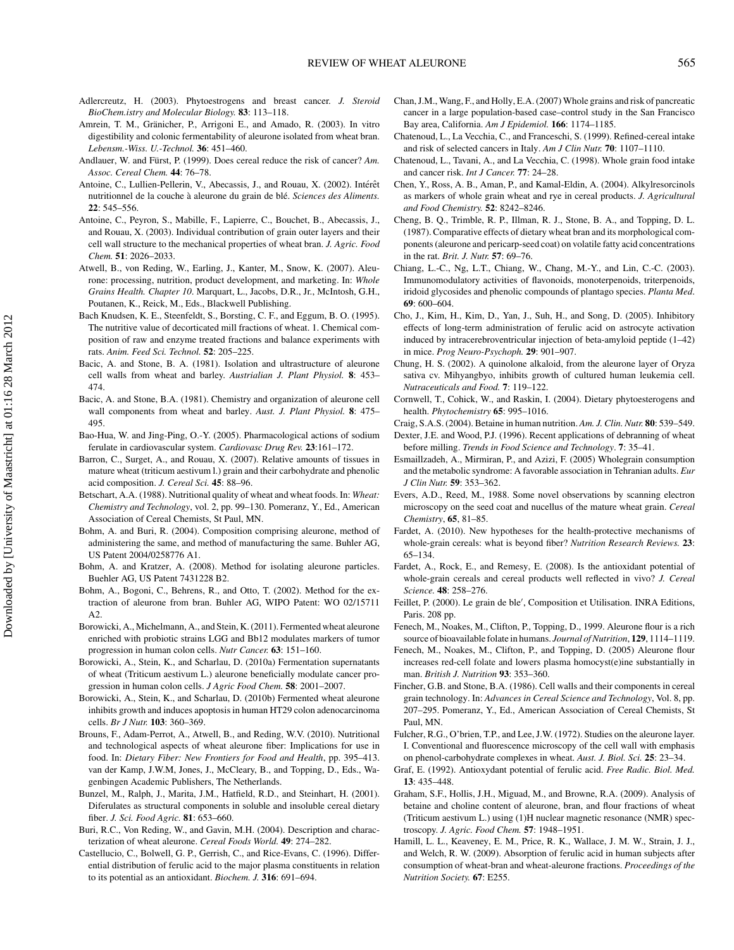- Adlercreutz, H. (2003). Phytoestrogens and breast cancer. *J. Steroid BioChem.istry and Molecular Biology.* **83**: 113–118.
- Amrein, T. M., Gränicher, P., Arrigoni E., and Amado, R. (2003). In vitro digestibility and colonic fermentability of aleurone isolated from wheat bran. *Lebensm.-Wiss. U.-Technol.* **36**: 451–460.
- Andlauer, W. and Fürst, P. (1999). Does cereal reduce the risk of cancer? Am. *Assoc. Cereal Chem.* **44**: 76–78.
- Antoine, C., Lullien-Pellerin, V., Abecassis, J., and Rouau, X. (2002). Intérêt nutritionnel de la couche à aleurone du grain de blé. Sciences des Aliments. **22**: 545–556.
- Antoine, C., Peyron, S., Mabille, F., Lapierre, C., Bouchet, B., Abecassis, J., and Rouau, X. (2003). Individual contribution of grain outer layers and their cell wall structure to the mechanical properties of wheat bran. *J. Agric. Food Chem.* **51**: 2026–2033.
- Atwell, B., von Reding, W., Earling, J., Kanter, M., Snow, K. (2007). Aleurone: processing, nutrition, product development, and marketing. In: *Whole Grains Health. Chapter 10*. Marquart, L., Jacobs, D.R., Jr., McIntosh, G.H., Poutanen, K., Reick, M., Eds., Blackwell Publishing.
- Bach Knudsen, K. E., Steenfeldt, S., Borsting, C. F., and Eggum, B. O. (1995). The nutritive value of decorticated mill fractions of wheat. 1. Chemical composition of raw and enzyme treated fractions and balance experiments with rats. *Anim. Feed Sci. Technol.* **52**: 205–225.
- Bacic, A. and Stone, B. A. (1981). Isolation and ultrastructure of aleurone cell walls from wheat and barley. *Austrialian J. Plant Physiol.* **8**: 453– 474.
- Bacic, A. and Stone, B.A. (1981). Chemistry and organization of aleurone cell wall components from wheat and barley. *Aust. J. Plant Physiol.* **8**: 475– 495.
- Bao-Hua, W. and Jing-Ping, O.-Y. (2005). Pharmacological actions of sodium ferulate in cardiovascular system. *Cardiovasc Drug Rev.* **23**:161–172.
- Barron, C., Surget, A., and Rouau, X. (2007). Relative amounts of tissues in mature wheat (triticum aestivum l.) grain and their carbohydrate and phenolic acid composition. *J. Cereal Sci.* **45**: 88–96.
- Betschart, A.A. (1988). Nutritional quality of wheat and wheat foods. In: *Wheat: Chemistry and Technology*, vol. 2, pp. 99–130. Pomeranz, Y., Ed., American Association of Cereal Chemists, St Paul, MN.
- Bohm, A. and Buri, R. (2004). Composition comprising aleurone, method of administering the same, and method of manufacturing the same. Buhler AG, US Patent 2004/0258776 A1.
- Bohm, A. and Kratzer, A. (2008). Method for isolating aleurone particles. Buehler AG, US Patent 7431228 B2.
- Bohm, A., Bogoni, C., Behrens, R., and Otto, T. (2002). Method for the extraction of aleurone from bran. Buhler AG, WIPO Patent: WO 02/15711 A2.
- Borowicki, A., Michelmann, A., and Stein, K. (2011). Fermented wheat aleurone enriched with probiotic strains LGG and Bb12 modulates markers of tumor progression in human colon cells. *Nutr Cancer.* **63**: 151–160.
- Borowicki, A., Stein, K., and Scharlau, D. (2010a) Fermentation supernatants of wheat (Triticum aestivum L.) aleurone beneficially modulate cancer progression in human colon cells. *J Agric Food Chem.* **58**: 2001–2007.
- Borowicki, A., Stein, K., and Scharlau, D. (2010b) Fermented wheat aleurone inhibits growth and induces apoptosis in human HT29 colon adenocarcinoma cells. *Br J Nutr.* **103**: 360–369.
- Brouns, F., Adam-Perrot, A., Atwell, B., and Reding, W.V. (2010). Nutritional and technological aspects of wheat aleurone fiber: Implications for use in food. In: *Dietary Fiber: New Frontiers for Food and Health*, pp. 395–413. van der Kamp, J.W.M, Jones, J., McCleary, B., and Topping, D., Eds., Wagenbingen Academic Publishers, The Netherlands.
- Bunzel, M., Ralph, J., Marita, J.M., Hatfield, R.D., and Steinhart, H. (2001). Diferulates as structural components in soluble and insoluble cereal dietary fiber. *J. Sci. Food Agric.* **81**: 653–660.
- Buri, R.C., Von Reding, W., and Gavin, M.H. (2004). Description and characterization of wheat aleurone. *Cereal Foods World.* **49**: 274–282.
- Castellucio, C., Bolwell, G. P., Gerrish, C., and Rice-Evans, C. (1996). Differential distribution of ferulic acid to the major plasma constituents in relation to its potential as an antioxidant. *Biochem. J.* **316**: 691–694.
- Chan, J.M., Wang, F., and Holly, E.A. (2007) Whole grains and risk of pancreatic cancer in a large population-based case–control study in the San Francisco Bay area, California. *Am J Epidemiol.* **166**: 1174–1185.
- Chatenoud, L., La Vecchia, C., and Franceschi, S. (1999). Refined-cereal intake and risk of selected cancers in Italy. *Am J Clin Nutr.* **70**: 1107–1110.
- Chatenoud, L., Tavani, A., and La Vecchia, C. (1998). Whole grain food intake and cancer risk. *Int J Cancer.* **77**: 24–28.
- Chen, Y., Ross, A. B., Aman, P., and Kamal-Eldin, A. (2004). Alkylresorcinols as markers of whole grain wheat and rye in cereal products. *J. Agricultural and Food Chemistry.* **52**: 8242–8246.
- Cheng, B. Q., Trimble, R. P., Illman, R. J., Stone, B. A., and Topping, D. L. (1987). Comparative effects of dietary wheat bran and its morphological components (aleurone and pericarp-seed coat) on volatile fatty acid concentrations in the rat. *Brit. J. Nutr.* **57**: 69–76.
- Chiang, L.-C., Ng, L.T., Chiang, W., Chang, M.-Y., and Lin, C.-C. (2003). Immunomodulatory activities of flavonoids, monoterpenoids, triterpenoids, iridoid glycosides and phenolic compounds of plantago species. *Planta Med*. **69**: 600–604.
- Cho, J., Kim, H., Kim, D., Yan, J., Suh, H., and Song, D. (2005). Inhibitory effects of long-term administration of ferulic acid on astrocyte activation induced by intracerebroventricular injection of beta-amyloid peptide (1–42) in mice. *Prog Neuro-Psychoph.* **29**: 901–907.
- Chung, H. S. (2002). A quinolone alkaloid, from the aleurone layer of Oryza sativa cv. Mihyangbyo, inhibits growth of cultured human leukemia cell. *Nutraceuticals and Food.* **7**: 119–122.
- Cornwell, T., Cohick, W., and Raskin, I. (2004). Dietary phytoesterogens and health. *Phytochemistry* **65**: 995–1016.

Craig, S.A.S. (2004). Betaine in human nutrition. *Am. J. Clin. Nutr.* **80**: 539–549.

- Dexter, J.E. and Wood, P.J. (1996). Recent applications of debranning of wheat before milling. *Trends in Food Science and Technology*. **7**: 35–41.
- Esmaillzadeh, A., Mirmiran, P., and Azizi, F. (2005) Wholegrain consumption and the metabolic syndrome: A favorable association in Tehranian adults. *Eur J Clin Nutr.* **59**: 353–362.
- Evers, A.D., Reed, M., 1988. Some novel observations by scanning electron microscopy on the seed coat and nucellus of the mature wheat grain. *Cereal Chemistry*, **65**, 81–85.
- Fardet, A. (2010). New hypotheses for the health-protective mechanisms of whole-grain cereals: what is beyond fiber? *Nutrition Research Reviews.* **23**: 65–134.
- Fardet, A., Rock, E., and Remesy, E. (2008). Is the antioxidant potential of whole-grain cereals and cereal products well reflected in vivo? *J. Cereal Science.* **48**: 258–276.
- Feillet, P. (2000). Le grain de ble , Composition et Utilisation. INRA Editions, Paris. 208 pp.
- Fenech, M., Noakes, M., Clifton, P., Topping, D., 1999. Aleurone flour is a rich source of bioavailable folate in humans. *Journal of Nutrition*, **129**, 1114–1119.
- Fenech, M., Noakes, M., Clifton, P., and Topping, D. (2005) Aleurone flour increases red-cell folate and lowers plasma homocyst(e)ine substantially in man. *British J. Nutrition* **93**: 353–360.
- Fincher, G.B. and Stone, B.A. (1986). Cell walls and their components in cereal grain technology. In: *Advances in Cereal Science and Technology*, Vol. 8, pp. 207–295. Pomeranz, Y., Ed., American Association of Cereal Chemists, St Paul, MN.
- Fulcher, R.G., O'brien, T.P., and Lee, J.W. (1972). Studies on the aleurone layer. I. Conventional and fluorescence microscopy of the cell wall with emphasis on phenol-carbohydrate complexes in wheat. *Aust. J. Biol. Sci.* **25**: 23–34.
- Graf, E. (1992). Antioxydant potential of ferulic acid. *Free Radic. Biol. Med.* **13**: 435–448.
- Graham, S.F., Hollis, J.H., Miguad, M., and Browne, R.A. (2009). Analysis of betaine and choline content of aleurone, bran, and flour fractions of wheat (Triticum aestivum L.) using (1)H nuclear magnetic resonance (NMR) spectroscopy. *J. Agric. Food Chem.* **57**: 1948–1951.
- Hamill, L. L., Keaveney, E. M., Price, R. K., Wallace, J. M. W., Strain, J. J., and Welch, R. W. (2009). Absorption of ferulic acid in human subjects after consumption of wheat-bran and wheat-aleurone fractions. *Proceedings of the Nutrition Society.* **67**: E255.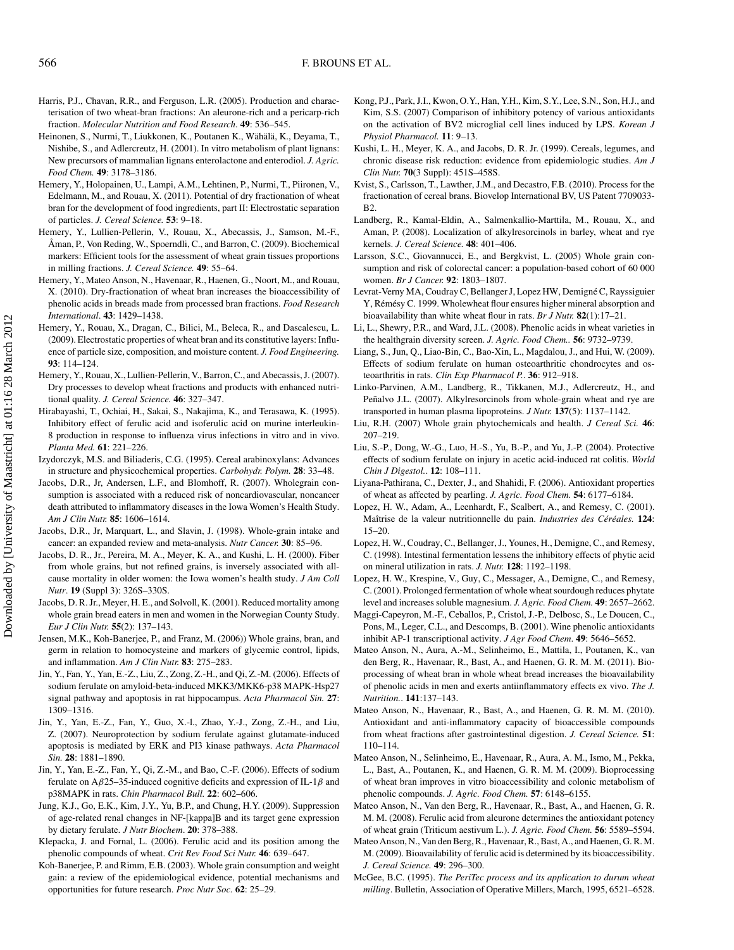- Harris, P.J., Chavan, R.R., and Ferguson, L.R. (2005). Production and characterisation of two wheat-bran fractions: An aleurone-rich and a pericarp-rich fraction. *Molecular Nutrition and Food Research*. **49**: 536–545.
- Heinonen, S., Nurmi, T., Liukkonen, K., Poutanen K., Wähälä, K., Deyama, T., Nishibe, S., and Adlercreutz, H. (2001). In vitro metabolism of plant lignans: New precursors of mammalian lignans enterolactone and enterodiol. *J. Agric. Food Chem.* **49**: 3178–3186.
- Hemery, Y., Holopainen, U., Lampi, A.M., Lehtinen, P., Nurmi, T., Piironen, V., Edelmann, M., and Rouau, X. (2011). Potential of dry fractionation of wheat bran for the development of food ingredients, part II: Electrostatic separation of particles. *J. Cereal Science.* **53**: 9–18.
- Hemery, Y., Lullien-Pellerin, V., Rouau, X., Abecassis, J., Samson, M.-F., Åman, P., Von Reding, W., Spoerndli, C., and Barron, C. (2009). Biochemical markers: Efficient tools for the assessment of wheat grain tissues proportions in milling fractions. *J. Cereal Science.* **49**: 55–64.
- Hemery, Y., Mateo Anson, N., Havenaar, R., Haenen, G., Noort, M., and Rouau, X. (2010). Dry-fractionation of wheat bran increases the bioaccessibility of phenolic acids in breads made from processed bran fractions. *Food Research International*. **43**: 1429–1438.
- Hemery, Y., Rouau, X., Dragan, C., Bilici, M., Beleca, R., and Dascalescu, L. (2009). Electrostatic properties of wheat bran and its constitutive layers: Influence of particle size, composition, and moisture content. *J. Food Engineering.* **93**: 114–124.
- Hemery, Y., Rouau, X., Lullien-Pellerin, V., Barron, C., and Abecassis, J. (2007). Dry processes to develop wheat fractions and products with enhanced nutritional quality. *J. Cereal Science.* **46**: 327–347.
- Hirabayashi, T., Ochiai, H., Sakai, S., Nakajima, K., and Terasawa, K. (1995). Inhibitory effect of ferulic acid and isoferulic acid on murine interleukin-8 production in response to influenza virus infections in vitro and in vivo. *Planta Med.* **61**: 221–226.
- Izydorczyk, M.S. and Biliaderis, C.G. (1995). Cereal arabinoxylans: Advances in structure and physicochemical properties. *Carbohydr. Polym.* **28**: 33–48.
- Jacobs, D.R., Jr, Andersen, L.F., and Blomhoff, R. (2007). Wholegrain consumption is associated with a reduced risk of noncardiovascular, noncancer death attributed to inflammatory diseases in the Iowa Women's Health Study. *Am J Clin Nutr.* **85**: 1606–1614.
- Jacobs, D.R., Jr, Marquart, L., and Slavin, J. (1998). Whole-grain intake and cancer: an expanded review and meta-analysis. *Nutr Cancer.* **30**: 85–96.
- Jacobs, D. R., Jr., Pereira, M. A., Meyer, K. A., and Kushi, L. H. (2000). Fiber from whole grains, but not refined grains, is inversely associated with allcause mortality in older women: the Iowa women's health study. *J Am Coll Nutr*. **19** (Suppl 3): 326S–330S.
- Jacobs, D. R. Jr., Meyer, H. E., and Solvoll, K. (2001). Reduced mortality among whole grain bread eaters in men and women in the Norwegian County Study. *Eur J Clin Nutr.* **55**(2): 137–143.
- Jensen, M.K., Koh-Banerjee, P., and Franz, M. (2006)) Whole grains, bran, and germ in relation to homocysteine and markers of glycemic control, lipids, and inflammation. *Am J Clin Nutr.* **83**: 275–283.
- Jin, Y., Fan, Y., Yan, E.-Z., Liu, Z., Zong, Z.-H., and Qi, Z.-M. (2006). Effects of sodium ferulate on amyloid-beta-induced MKK3/MKK6-p38 MAPK-Hsp27 signal pathway and apoptosis in rat hippocampus. *Acta Pharmacol Sin.* **27**: 1309–1316.
- Jin, Y., Yan, E.-Z., Fan, Y., Guo, X.-l., Zhao, Y.-J., Zong, Z.-H., and Liu, Z. (2007). Neuroprotection by sodium ferulate against glutamate-induced apoptosis is mediated by ERK and PI3 kinase pathways. *Acta Pharmacol Sin.* **28**: 1881–1890.
- Jin, Y., Yan, E.-Z., Fan, Y., Qi, Z.-M., and Bao, C.-F. (2006). Effects of sodium ferulate on A $\beta$ 25–35-induced cognitive deficits and expression of IL-1 $\beta$  and p38MAPK in rats. *Chin Pharmacol Bull.* **22**: 602–606.
- Jung, K.J., Go, E.K., Kim, J.Y., Yu, B.P., and Chung, H.Y. (2009). Suppression of age-related renal changes in NF-[kappa]B and its target gene expression by dietary ferulate. *J Nutr Biochem*. **20**: 378–388.
- Klepacka, J. and Fornal, L. (2006). Ferulic acid and its position among the phenolic compounds of wheat. *Crit Rev Food Sci Nutr.* **46**: 639–647.
- Koh-Banerjee, P. and Rimm, E.B. (2003). Whole grain consumption and weight gain: a review of the epidemiological evidence, potential mechanisms and opportunities for future research. *Proc Nutr Soc.* **62**: 25–29.
- Kong, P.J., Park, J.I., Kwon, O.Y., Han, Y.H., Kim, S.Y., Lee, S.N., Son, H.J., and Kim, S.S. (2007) Comparison of inhibitory potency of various antioxidants on the activation of BV2 microglial cell lines induced by LPS. *Korean J Physiol Pharmacol.* **11**: 9–13.
- Kushi, L. H., Meyer, K. A., and Jacobs, D. R. Jr. (1999). Cereals, legumes, and chronic disease risk reduction: evidence from epidemiologic studies. *Am J Clin Nutr.* **70**(3 Suppl): 451S–458S.
- Kvist, S., Carlsson, T., Lawther, J.M., and Decastro, F.B. (2010). Process for the fractionation of cereal brans. Biovelop International BV, US Patent 7709033- B2.
- Landberg, R., Kamal-Eldin, A., Salmenkallio-Marttila, M., Rouau, X., and Aman, P. (2008). Localization of alkylresorcinols in barley, wheat and rye kernels. *J. Cereal Science.* **48**: 401–406.
- Larsson, S.C., Giovannucci, E., and Bergkvist, L. (2005) Whole grain consumption and risk of colorectal cancer: a population-based cohort of 60 000 women. *Br J Cancer.* **92**: 1803–1807.
- Levrat-Verny MA, Coudray C, Bellanger J, Lopez HW, Demigné C, Rayssiguier Y, Rémésy C. 1999. Wholewheat flour ensures higher mineral absorption and bioavailability than white wheat flour in rats. *Br J Nutr.* **82**(1):17–21.
- Li, L., Shewry, P.R., and Ward, J.L. (2008). Phenolic acids in wheat varieties in the healthgrain diversity screen. *J. Agric. Food Chem..* **56**: 9732–9739.
- Liang, S., Jun, Q., Liao-Bin, C., Bao-Xin, L., Magdalou, J., and Hui, W. (2009). Effects of sodium ferulate on human osteoarthritic chondrocytes and osteoarthritis in rats. *Clin Exp Pharmacol P.*. **36**: 912–918.
- Linko-Parvinen, A.M., Landberg, R., Tikkanen, M.J., Adlercreutz, H., and Peñalvo J.L. (2007). Alkylresorcinols from whole-grain wheat and rye are transported in human plasma lipoproteins. *J Nutr.* **137**(5): 1137–1142.
- Liu, R.H. (2007) Whole grain phytochemicals and health. *J Cereal Sci.* **46**: 207–219.
- Liu, S.-P., Dong, W.-G., Luo, H.-S., Yu, B.-P., and Yu, J.-P. (2004). Protective effects of sodium ferulate on injury in acetic acid-induced rat colitis. *World Chin J Digestol.*. **12**: 108–111.
- Liyana-Pathirana, C., Dexter, J., and Shahidi, F. (2006). Antioxidant properties of wheat as affected by pearling. *J. Agric. Food Chem.* **54**: 6177–6184.
- Lopez, H. W., Adam, A., Leenhardt, F., Scalbert, A., and Remesy, C. (2001). Maîtrise de la valeur nutritionnelle du pain. *Industries des Céréales*. 124: 15–20.
- Lopez, H. W., Coudray, C., Bellanger, J., Younes, H., Demigne, C., and Remesy, C. (1998). Intestinal fermentation lessens the inhibitory effects of phytic acid on mineral utilization in rats. *J. Nutr.* **128**: 1192–1198.
- Lopez, H. W., Krespine, V., Guy, C., Messager, A., Demigne, C., and Remesy, C. (2001). Prolonged fermentation of whole wheat sourdough reduces phytate level and increases soluble magnesium. *J. Agric. Food Chem.* **49**: 2657–2662.
- Maggi-Capeyron, M.-F., Ceballos, P., Cristol, J.-P., Delbosc, S., Le Doucen, C., Pons, M., Leger, C.L., and Descomps, B. (2001). Wine phenolic antioxidants inhibit AP-1 transcriptional activity. *J Agr Food Chem*. **49**: 5646–5652.
- Mateo Anson, N., Aura, A.-M., Selinheimo, E., Mattila, I., Poutanen, K., van den Berg, R., Havenaar, R., Bast, A., and Haenen, G. R. M. M. (2011). Bioprocessing of wheat bran in whole wheat bread increases the bioavailability of phenolic acids in men and exerts antiinflammatory effects ex vivo. *The J. Nutrition.*. **141**:137–143.
- Mateo Anson, N., Havenaar, R., Bast, A., and Haenen, G. R. M. M. (2010). Antioxidant and anti-inflammatory capacity of bioaccessible compounds from wheat fractions after gastrointestinal digestion. *J. Cereal Science.* **51**: 110–114.
- Mateo Anson, N., Selinheimo, E., Havenaar, R., Aura, A. M., Ismo, M., Pekka, L., Bast, A., Poutanen, K., and Haenen, G. R. M. M. (2009). Bioprocessing of wheat bran improves in vitro bioaccessibility and colonic metabolism of phenolic compounds. *J. Agric. Food Chem.* **57**: 6148–6155.
- Mateo Anson, N., Van den Berg, R., Havenaar, R., Bast, A., and Haenen, G. R. M. M. (2008). Ferulic acid from aleurone determines the antioxidant potency of wheat grain (Triticum aestivum L.). *J. Agric. Food Chem.* **56**: 5589–5594.
- Mateo Anson, N., Van den Berg, R., Havenaar, R., Bast, A., and Haenen, G. R. M. M. (2009). Bioavailability of ferulic acid is determined by its bioaccessibility. *J. Cereal Science.* **49**: 296–300.
- McGee, B.C. (1995). *The PeriTec process and its application to durum wheat milling*. Bulletin, Association of Operative Millers, March, 1995, 6521–6528.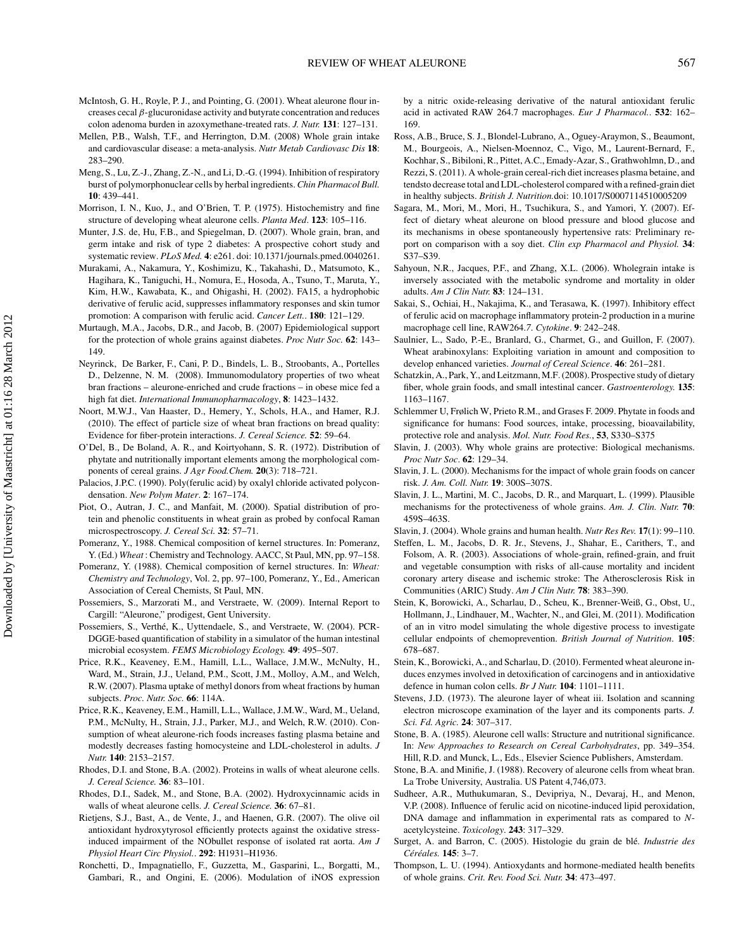- McIntosh, G. H., Royle, P. J., and Pointing, G. (2001). Wheat aleurone flour increases cecal  $\beta$ -glucuronidase activity and butyrate concentration and reduces colon adenoma burden in azoxymethane-treated rats. *J. Nutr.* **131**: 127–131.
- Mellen, P.B., Walsh, T.F., and Herrington, D.M. (2008) Whole grain intake and cardiovascular disease: a meta-analysis. *Nutr Metab Cardiovasc Dis* **18**: 283–290.
- Meng, S., Lu, Z.-J., Zhang, Z.-N., and Li, D.-G. (1994). Inhibition of respiratory burst of polymorphonuclear cells by herbal ingredients. *Chin Pharmacol Bull.* **10**: 439–441.
- Morrison, I. N., Kuo, J., and O'Brien, T. P. (1975). Histochemistry and fine structure of developing wheat aleurone cells. *Planta Med*. **123**: 105–116.
- Munter, J.S. de, Hu, F.B., and Spiegelman, D. (2007). Whole grain, bran, and germ intake and risk of type 2 diabetes: A prospective cohort study and systematic review. *PLoS Med.* **4**: e261. doi: 10.1371/journals.pmed.0040261.
- Murakami, A., Nakamura, Y., Koshimizu, K., Takahashi, D., Matsumoto, K., Hagihara, K., Taniguchi, H., Nomura, E., Hosoda, A., Tsuno, T., Maruta, Y., Kim, H.W., Kawabata, K., and Ohigashi, H. (2002). FA15, a hydrophobic derivative of ferulic acid, suppresses inflammatory responses and skin tumor promotion: A comparison with ferulic acid. *Cancer Lett.*. **180**: 121–129.
- Murtaugh, M.A., Jacobs, D.R., and Jacob, B. (2007) Epidemiological support for the protection of whole grains against diabetes. *Proc Nutr Soc.* **62**: 143– 149.
- Neyrinck, De Barker, F., Cani, P. D., Bindels, L. B., Stroobants, A., Portelles D., Delzenne, N. M. (2008). Immunomodulatory properties of two wheat bran fractions – aleurone-enriched and crude fractions – in obese mice fed a high fat diet. *International Immunopharmacology*, **8**: 1423–1432.
- Noort, M.W.J., Van Haaster, D., Hemery, Y., Schols, H.A., and Hamer, R.J. (2010). The effect of particle size of wheat bran fractions on bread quality: Evidence for fiber-protein interactions. *J. Cereal Science.* **52**: 59–64.
- O'Del, B., De Boland, A. R., and Koirtyohann, S. R. (1972). Distribution of phytate and nutritionally important elements among the morphological components of cereal grains. *J Agr Food.Chem.* **20**(3): 718–721.
- Palacios, J.P.C. (1990). Poly(ferulic acid) by oxalyl chloride activated polycondensation. *New Polym Mater*. **2**: 167–174.
- Piot, O., Autran, J. C., and Manfait, M. (2000). Spatial distribution of protein and phenolic constituents in wheat grain as probed by confocal Raman microspectroscopy. *J. Cereal Sci.* **32**: 57–71.
- Pomeranz, Y., 1988. Chemical composition of kernel structures. In: Pomeranz, Y. (Ed.) *Wheat* : Chemistry and Technology. AACC, St Paul, MN, pp. 97–158.
- Pomeranz, Y. (1988). Chemical composition of kernel structures. In: *Wheat: Chemistry and Technology*, Vol. 2, pp. 97–100, Pomeranz, Y., Ed., American Association of Cereal Chemists, St Paul, MN.
- Possemiers, S., Marzorati M., and Verstraete, W. (2009). Internal Report to Cargill: "Aleurone," prodigest, Gent University.
- Possemiers, S., Verthé, K., Uyttendaele, S., and Verstraete, W. (2004). PCR-DGGE-based quantification of stability in a simulator of the human intestinal microbial ecosystem. *FEMS Microbiology Ecology.* **49**: 495–507.
- Price, R.K., Keaveney, E.M., Hamill, L.L., Wallace, J.M.W., McNulty, H., Ward, M., Strain, J.J., Ueland, P.M., Scott, J.M., Molloy, A.M., and Welch, R.W. (2007). Plasma uptake of methyl donors from wheat fractions by human subjects. *Proc. Nutr. Soc.* **66**: 114A.
- Price, R.K., Keaveney, E.M., Hamill, L.L., Wallace, J.M.W., Ward, M., Ueland, P.M., McNulty, H., Strain, J.J., Parker, M.J., and Welch, R.W. (2010). Consumption of wheat aleurone-rich foods increases fasting plasma betaine and modestly decreases fasting homocysteine and LDL-cholesterol in adults. *J Nutr.* **140**: 2153–2157.
- Rhodes, D.I. and Stone, B.A. (2002). Proteins in walls of wheat aleurone cells. *J. Cereal Science.* **36**: 83–101.
- Rhodes, D.I., Sadek, M., and Stone, B.A. (2002). Hydroxycinnamic acids in walls of wheat aleurone cells. *J. Cereal Science.* **36**: 67–81.
- Rietjens, S.J., Bast, A., de Vente, J., and Haenen, G.R. (2007). The olive oil antioxidant hydroxytyrosol efficiently protects against the oxidative stressinduced impairment of the NObullet response of isolated rat aorta. *Am J Physiol Heart Circ Physiol.*. **292**: H1931–H1936.
- Ronchetti, D., Impagnatiello, F., Guzzetta, M., Gasparini, L., Borgatti, M., Gambari, R., and Ongini, E. (2006). Modulation of iNOS expression

by a nitric oxide-releasing derivative of the natural antioxidant ferulic acid in activated RAW 264.7 macrophages. *Eur J Pharmacol.*. **532**: 162– 169.

- Ross, A.B., Bruce, S. J., Blondel-Lubrano, A., Oguey-Araymon, S., Beaumont, M., Bourgeois, A., Nielsen-Moennoz, C., Vigo, M., Laurent-Bernard, F., Kochhar, S., Bibiloni, R., Pittet, A.C., Emady-Azar, S., Grathwohlmn, D., and Rezzi, S. (2011). A whole-grain cereal-rich diet increases plasma betaine, and tendsto decrease total and LDL-cholesterol compared with a refined-grain diet in healthy subjects. *British J. Nutrition.*doi: 10.1017/S0007114510005209
- Sagara, M., Mori, M., Mori, H., Tsuchikura, S., and Yamori, Y. (2007). Effect of dietary wheat aleurone on blood pressure and blood glucose and its mechanisms in obese spontaneously hypertensive rats: Preliminary report on comparison with a soy diet. *Clin exp Pharmacol and Physiol.* **34**: S37–S39.
- Sahyoun, N.R., Jacques, P.F., and Zhang, X.L. (2006). Wholegrain intake is inversely associated with the metabolic syndrome and mortality in older adults. *Am J Clin Nutr.* **83**: 124–131.
- Sakai, S., Ochiai, H., Nakajima, K., and Terasawa, K. (1997). Inhibitory effect of ferulic acid on macrophage inflammatory protein-2 production in a murine macrophage cell line, RAW264.*7*. *Cytokine*. **9**: 242–248.
- Saulnier, L., Sado, P.-E., Branlard, G., Charmet, G., and Guillon, F. (2007). Wheat arabinoxylans: Exploiting variation in amount and composition to develop enhanced varieties. *Journal of Cereal Science*. **46**: 261–281.
- Schatzkin, A., Park, Y., and Leitzmann, M.F. (2008). Prospective study of dietary fiber, whole grain foods, and small intestinal cancer. *Gastroenterology.* **135**: 1163–1167.
- Schlemmer U, Frølich W, Prieto R.M., and Grases F. 2009. Phytate in foods and significance for humans: Food sources, intake, processing, bioavailability, protective role and analysis. *Mol. Nutr. Food Res.*, **53**, S330–S375
- Slavin, J. (2003). Why whole grains are protective: Biological mechanisms. *Proc Nutr Soc*. **62**: 129–34.
- Slavin, J. L. (2000). Mechanisms for the impact of whole grain foods on cancer risk. *J. Am. Coll. Nutr.* **19**: 300S–307S.
- Slavin, J. L., Martini, M. C., Jacobs, D. R., and Marquart, L. (1999). Plausible mechanisms for the protectiveness of whole grains. *Am. J. Clin. Nutr.* **70**: 459S–463S.

Slavin, J. (2004). Whole grains and human health. *Nutr Res Rev.* **17**(1): 99–110.

- Steffen, L. M., Jacobs, D. R. Jr., Stevens, J., Shahar, E., Carithers, T., and Folsom, A. R. (2003). Associations of whole-grain, refined-grain, and fruit and vegetable consumption with risks of all-cause mortality and incident coronary artery disease and ischemic stroke: The Atherosclerosis Risk in Communities (ARIC) Study. *Am J Clin Nutr.* **78**: 383–390.
- Stein, K, Borowicki, A., Scharlau, D., Scheu, K., Brenner-Weiß, G., Obst, U., Hollmann, J., Lindhauer, M., Wachter, N., and Glei, M. (2011). Modification of an in vitro model simulating the whole digestive process to investigate cellular endpoints of chemoprevention. *British Journal of Nutrition*. **105**: 678–687.
- Stein, K., Borowicki, A., and Scharlau, D. (2010). Fermented wheat aleurone induces enzymes involved in detoxification of carcinogens and in antioxidative defence in human colon cells. *Br J Nutr.* **104**: 1101–1111.
- Stevens, J.D. (1973). The aleurone layer of wheat iii. Isolation and scanning electron microscope examination of the layer and its components parts. *J. Sci. Fd. Agric.* **24**: 307–317.
- Stone, B. A. (1985). Aleurone cell walls: Structure and nutritional significance. In: *New Approaches to Research on Cereal Carbohydrates*, pp. 349–354. Hill, R.D. and Munck, L., Eds., Elsevier Science Publishers, Amsterdam.
- Stone, B.A. and Minifie, J. (1988). Recovery of aleurone cells from wheat bran. La Trobe University, Australia. US Patent 4,746,073.
- Sudheer, A.R., Muthukumaran, S., Devipriya, N., Devaraj, H., and Menon, V.P. (2008). Influence of ferulic acid on nicotine-induced lipid peroxidation, DNA damage and inflammation in experimental rats as compared to *N*acetylcysteine. *Toxicology*. **243**: 317–329.
- Surget, A. and Barron, C. (2005). Histologie du grain de blé. *Industrie des Cer´ eales. ´* **145**: 3–7.
- Thompson, L. U. (1994). Antioxydants and hormone-mediated health benefits of whole grains. *Crit. Rev. Food Sci. Nutr.* **34**: 473–497.